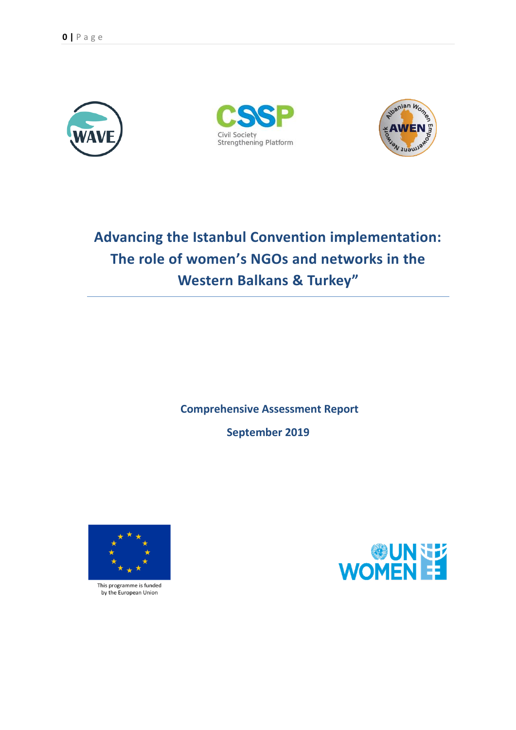





# **Advancing the Istanbul Convention implementation: The role of women's NGOs and networks in the Western Balkans & Turkey"**

**Comprehensive Assessment Report**

**September 2019**



This programme is funded by the European Union

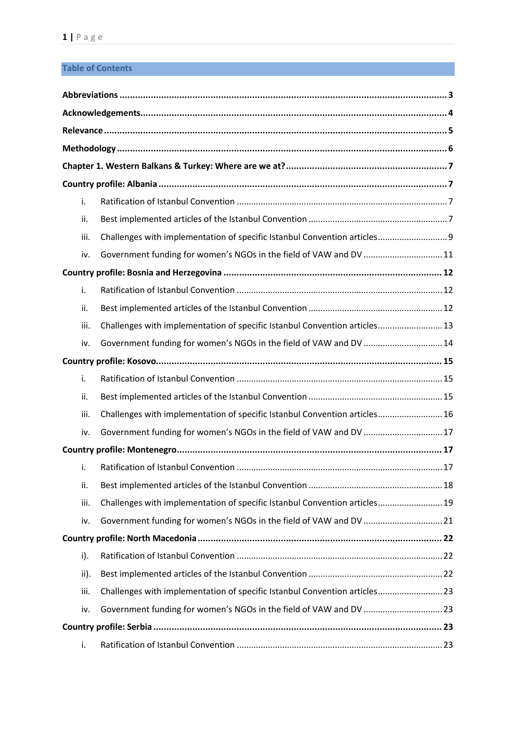# **Table of Contents**

|  | i.   |                                                                            |  |  |  |  |  |
|--|------|----------------------------------------------------------------------------|--|--|--|--|--|
|  | ii.  |                                                                            |  |  |  |  |  |
|  | iii. | Challenges with implementation of specific Istanbul Convention articles 9  |  |  |  |  |  |
|  | iv.  | Government funding for women's NGOs in the field of VAW and DV  11         |  |  |  |  |  |
|  |      |                                                                            |  |  |  |  |  |
|  | i.   |                                                                            |  |  |  |  |  |
|  | ii.  |                                                                            |  |  |  |  |  |
|  | iii. | Challenges with implementation of specific Istanbul Convention articles 13 |  |  |  |  |  |
|  | iv.  | Government funding for women's NGOs in the field of VAW and DV  14         |  |  |  |  |  |
|  |      |                                                                            |  |  |  |  |  |
|  | i.   |                                                                            |  |  |  |  |  |
|  | ii.  |                                                                            |  |  |  |  |  |
|  | iii. | Challenges with implementation of specific Istanbul Convention articles 16 |  |  |  |  |  |
|  | iv.  | Government funding for women's NGOs in the field of VAW and DV  17         |  |  |  |  |  |
|  |      |                                                                            |  |  |  |  |  |
|  | i.   |                                                                            |  |  |  |  |  |
|  | ii.  |                                                                            |  |  |  |  |  |
|  | iii. | Challenges with implementation of specific Istanbul Convention articles 19 |  |  |  |  |  |
|  | iv.  | Government funding for women's NGOs in the field of VAW and DV 21          |  |  |  |  |  |
|  |      |                                                                            |  |  |  |  |  |
|  | i).  |                                                                            |  |  |  |  |  |
|  | ii). |                                                                            |  |  |  |  |  |
|  | iii. | Challenges with implementation of specific Istanbul Convention articles23  |  |  |  |  |  |
|  | iv.  | Government funding for women's NGOs in the field of VAW and DV 23          |  |  |  |  |  |
|  |      |                                                                            |  |  |  |  |  |
|  | i.   |                                                                            |  |  |  |  |  |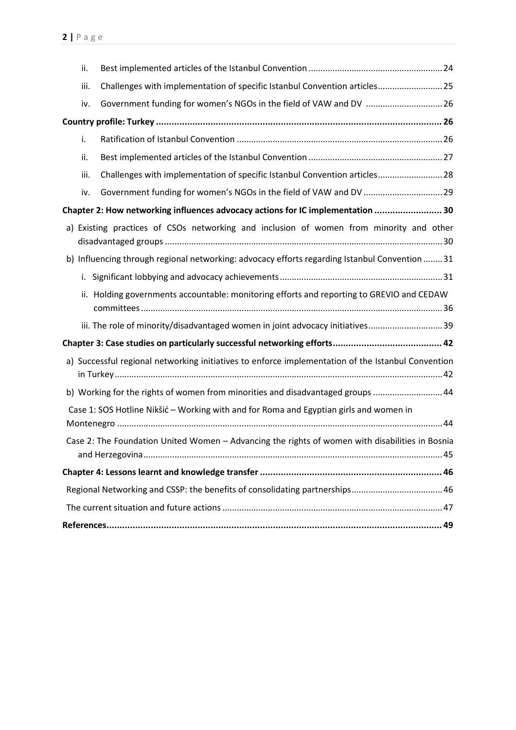| ii.  |                                                                                                    |  |
|------|----------------------------------------------------------------------------------------------------|--|
| iii. | Challenges with implementation of specific Istanbul Convention articles25                          |  |
| iv.  | Government funding for women's NGOs in the field of VAW and DV  26                                 |  |
|      |                                                                                                    |  |
| i.   |                                                                                                    |  |
| ii.  |                                                                                                    |  |
| iii. | Challenges with implementation of specific Istanbul Convention articles28                          |  |
| iv.  |                                                                                                    |  |
|      | Chapter 2: How networking influences advocacy actions for IC implementation  30                    |  |
|      | a) Existing practices of CSOs networking and inclusion of women from minority and other            |  |
|      | b) Influencing through regional networking: advocacy efforts regarding Istanbul Convention  31     |  |
| i.   |                                                                                                    |  |
|      | ii. Holding governments accountable: monitoring efforts and reporting to GREVIO and CEDAW          |  |
|      | iii. The role of minority/disadvantaged women in joint advocacy initiatives 39                     |  |
|      |                                                                                                    |  |
|      | a) Successful regional networking initiatives to enforce implementation of the Istanbul Convention |  |
|      | b) Working for the rights of women from minorities and disadvantaged groups 44                     |  |
|      | Case 1: SOS Hotline Nikšić - Working with and for Roma and Egyptian girls and women in             |  |
|      | Case 2: The Foundation United Women - Advancing the rights of women with disabilities in Bosnia    |  |
|      |                                                                                                    |  |
|      |                                                                                                    |  |
|      |                                                                                                    |  |
|      |                                                                                                    |  |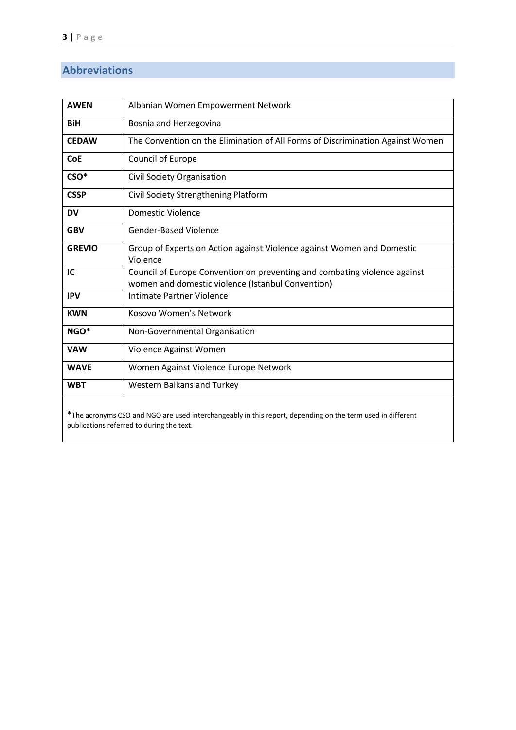# <span id="page-3-0"></span>**Abbreviations**

| <b>AWEN</b>                                                                                                | Albanian Women Empowerment Network                                                                                             |  |  |  |
|------------------------------------------------------------------------------------------------------------|--------------------------------------------------------------------------------------------------------------------------------|--|--|--|
| <b>BiH</b>                                                                                                 | Bosnia and Herzegovina                                                                                                         |  |  |  |
| <b>CEDAW</b>                                                                                               | The Convention on the Elimination of All Forms of Discrimination Against Women                                                 |  |  |  |
| <b>CoE</b>                                                                                                 | Council of Europe                                                                                                              |  |  |  |
| CSO*                                                                                                       | Civil Society Organisation                                                                                                     |  |  |  |
| <b>CSSP</b>                                                                                                | Civil Society Strengthening Platform                                                                                           |  |  |  |
| DV                                                                                                         | <b>Domestic Violence</b>                                                                                                       |  |  |  |
| <b>GBV</b>                                                                                                 | <b>Gender-Based Violence</b>                                                                                                   |  |  |  |
| <b>GREVIO</b>                                                                                              | Group of Experts on Action against Violence against Women and Domestic<br>Violence                                             |  |  |  |
| IC                                                                                                         | Council of Europe Convention on preventing and combating violence against<br>women and domestic violence (Istanbul Convention) |  |  |  |
| <b>IPV</b>                                                                                                 | Intimate Partner Violence                                                                                                      |  |  |  |
| <b>KWN</b>                                                                                                 | Kosovo Women's Network                                                                                                         |  |  |  |
| NGO*                                                                                                       | Non-Governmental Organisation                                                                                                  |  |  |  |
| <b>VAW</b>                                                                                                 | Violence Against Women                                                                                                         |  |  |  |
| <b>WAVE</b>                                                                                                | Women Against Violence Europe Network                                                                                          |  |  |  |
| <b>WBT</b>                                                                                                 | Western Balkans and Turkey                                                                                                     |  |  |  |
| *The acronyms CSO and NGO are used interchangeably in this report, depending on the term used in different |                                                                                                                                |  |  |  |

publications referred to during the text.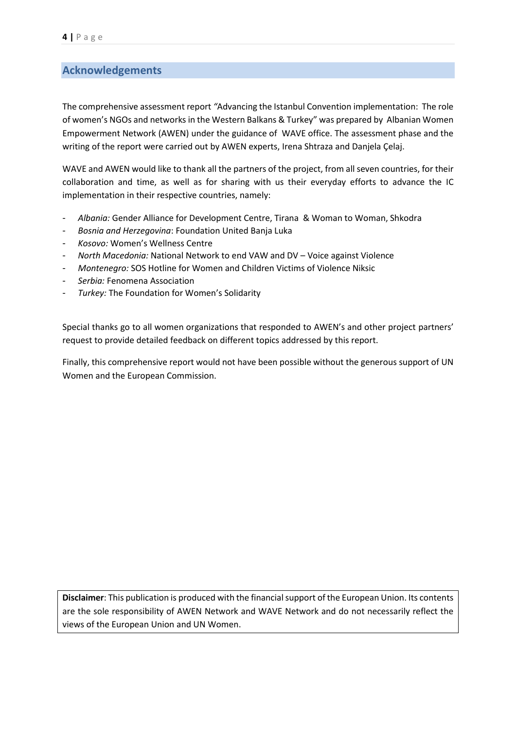# <span id="page-4-0"></span>**Acknowledgements**

The comprehensive assessment report *"*Advancing the Istanbul Convention implementation: The role of women's NGOs and networks in the Western Balkans & Turkey" was prepared by Albanian Women Empowerment Network (AWEN) under the guidance of WAVE office. The assessment phase and the writing of the report were carried out by AWEN experts, Irena Shtraza and Danjela Çelaj.

WAVE and AWEN would like to thank all the partners of the project, from all seven countries, for their collaboration and time, as well as for sharing with us their everyday efforts to advance the IC implementation in their respective countries, namely:

- *Albania:* Gender Alliance for Development Centre, Tirana & Woman to Woman, Shkodra
- *Bosnia and Herzegovina*: Foundation United Banja Luka
- *Kosovo:* Women's Wellness Centre
- *North Macedonia:* National Network to end VAW and DV Voice against Violence
- *Montenegro:* SOS Hotline for Women and Children Victims of Violence Niksic
- *Serbia:* Fenomena Association
- Turkey: The Foundation for Women's Solidarity

Special thanks go to all women organizations that responded to AWEN's and other project partners' request to provide detailed feedback on different topics addressed by this report.

Finally, this comprehensive report would not have been possible without the generous support of UN Women and the European Commission.

**Disclaimer**: This publication is produced with the financial support of the European Union. Its contents are the sole responsibility of AWEN Network and WAVE Network and do not necessarily reflect the views of the European Union and UN Women.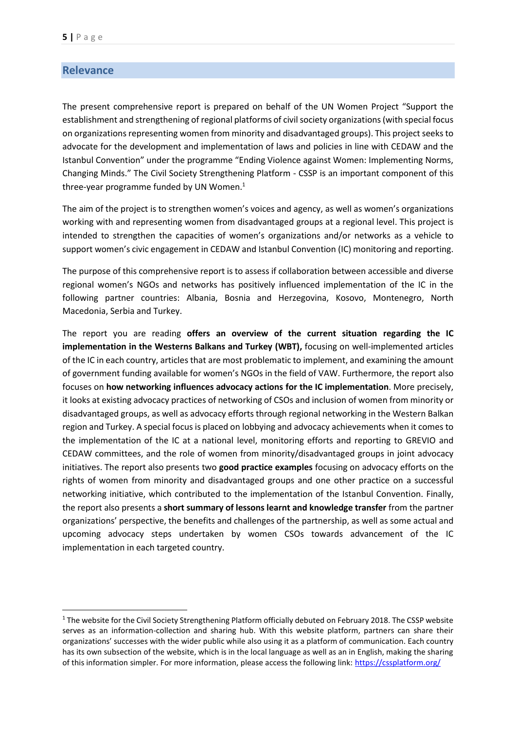# <span id="page-5-0"></span>**Relevance**

**.** 

The present comprehensive report is prepared on behalf of the UN Women Project "Support the establishment and strengthening of regional platforms of civil society organizations(with special focus on organizations representing women from minority and disadvantaged groups). This project seeks to advocate for the development and implementation of laws and policies in line with CEDAW and the Istanbul Convention" under the programme "Ending Violence against Women: Implementing Norms, Changing Minds." The Civil Society Strengthening Platform - CSSP is an important component of this three-year programme funded by UN Women. $1$ 

The aim of the project is to strengthen women's voices and agency, as well as women's organizations working with and representing women from disadvantaged groups at a regional level. This project is intended to strengthen the capacities of women's organizations and/or networks as a vehicle to support women's civic engagement in CEDAW and Istanbul Convention (IC) monitoring and reporting.

The purpose of this comprehensive report is to assess if collaboration between accessible and diverse regional women's NGOs and networks has positively influenced implementation of the IC in the following partner countries: Albania, Bosnia and Herzegovina, Kosovo, Montenegro, North Macedonia, Serbia and Turkey.

The report you are reading **offers an overview of the current situation regarding the IC implementation in the Westerns Balkans and Turkey (WBT),** focusing on well-implemented articles of the IC in each country, articles that are most problematic to implement, and examining the amount of government funding available for women's NGOs in the field of VAW. Furthermore, the report also focuses on **how networking influences advocacy actions for the IC implementation**. More precisely, it looks at existing advocacy practices of networking of CSOs and inclusion of women from minority or disadvantaged groups, as well as advocacy efforts through regional networking in the Western Balkan region and Turkey. A special focus is placed on lobbying and advocacy achievements when it comes to the implementation of the IC at a national level, monitoring efforts and reporting to GREVIO and CEDAW committees, and the role of women from minority/disadvantaged groups in joint advocacy initiatives. The report also presents two **good practice examples** focusing on advocacy efforts on the rights of women from minority and disadvantaged groups and one other practice on a successful networking initiative, which contributed to the implementation of the Istanbul Convention. Finally, the report also presents a **short summary of lessons learnt and knowledge transfer** from the partner organizations' perspective, the benefits and challenges of the partnership, as well as some actual and upcoming advocacy steps undertaken by women CSOs towards advancement of the IC implementation in each targeted country.

 $1$  The website for the Civil Society Strengthening Platform officially debuted on February 2018. The CSSP website serves as an information-collection and sharing hub. With this website platform, partners can share their organizations' successes with the wider public while also using it as a platform of communication. Each country has its own subsection of the website, which is in the local language as well as an in English, making the sharing of this information simpler. For more information, please access the following link:<https://cssplatform.org/>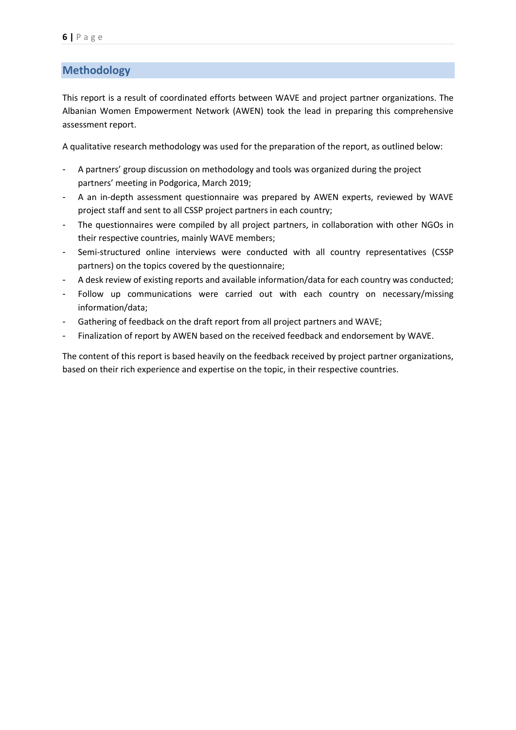# <span id="page-6-0"></span>**Methodology**

This report is a result of coordinated efforts between WAVE and project partner organizations. The Albanian Women Empowerment Network (AWEN) took the lead in preparing this comprehensive assessment report.

A qualitative research methodology was used for the preparation of the report, as outlined below:

- A partners' group discussion on methodology and tools was organized during the project partners' meeting in Podgorica, March 2019;
- A an in-depth assessment questionnaire was prepared by AWEN experts, reviewed by WAVE project staff and sent to all CSSP project partners in each country;
- The questionnaires were compiled by all project partners, in collaboration with other NGOs in their respective countries, mainly WAVE members;
- Semi-structured online interviews were conducted with all country representatives (CSSP partners) on the topics covered by the questionnaire;
- A desk review of existing reports and available information/data for each country was conducted;
- Follow up communications were carried out with each country on necessary/missing information/data;
- Gathering of feedback on the draft report from all project partners and WAVE;
- Finalization of report by AWEN based on the received feedback and endorsement by WAVE.

The content of this report is based heavily on the feedback received by project partner organizations, based on their rich experience and expertise on the topic, in their respective countries.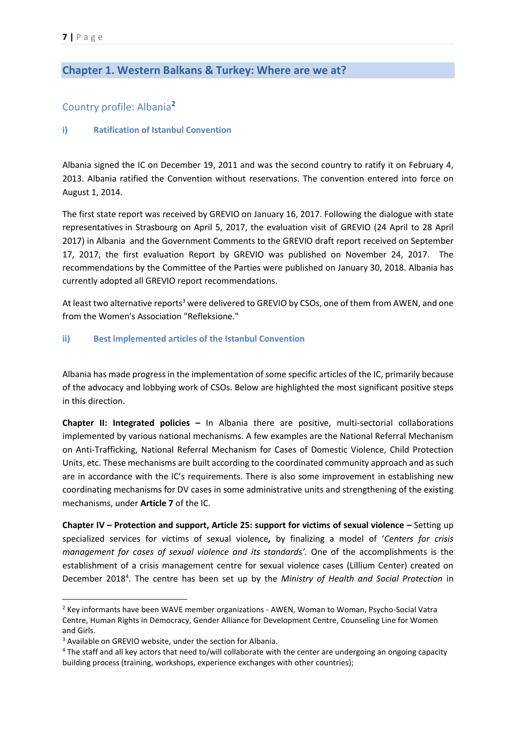# <span id="page-7-1"></span><span id="page-7-0"></span>**Chapter 1. Western Balkans & Turkey: Where are we at?**

# Country profile: Albania**<sup>2</sup>**

#### <span id="page-7-2"></span>**i) Ratification of Istanbul Convention**

Albania signed the IC on December 19, 2011 and was the second country to ratify it on February 4, 2013. Albania ratified the Convention without reservations. The convention entered into force on August 1, 2014.

The first state report was received by GREVIO on January 16, 2017. Following the [dialogue with state](https://www.coe.int/en/web/istanbul-convention/newsroom/-/asset_publisher/anlInZ5mw6yX/content/grevio-reviews-state-report-with-representatives-from-turkey?inheritRedirect=false&redirect=https%3A%2F%2Fwww.coe.int%2Fen%2Fweb%2Fistanbul-convention%2Fnewsroom%3Fp_p_id%3D101_INSTANCE_anlInZ5mw6yX%26p_p_lifecycle%3D0%26p_p_state%3Dnormal%26p_p_mode%3Dview%26p_p_col_id%3Dcolumn-1%26p_p_col_count%3D2)  [representatives](https://www.coe.int/en/web/istanbul-convention/newsroom/-/asset_publisher/anlInZ5mw6yX/content/grevio-reviews-state-report-with-representatives-from-turkey?inheritRedirect=false&redirect=https%3A%2F%2Fwww.coe.int%2Fen%2Fweb%2Fistanbul-convention%2Fnewsroom%3Fp_p_id%3D101_INSTANCE_anlInZ5mw6yX%26p_p_lifecycle%3D0%26p_p_state%3Dnormal%26p_p_mode%3Dview%26p_p_col_id%3Dcolumn-1%26p_p_col_count%3D2) in Strasbourg on April 5, 2017, the [evaluation visit of GREVIO \(24 April to 28 April](https://www.coe.int/en/web/istanbul-convention/newsroom/-/asset_publisher/anlInZ5mw6yX/content/council-of-europe-s-expert-group-on-violence-against-women-visits-turkey?inheritRedirect=false&redirect=https%3A%2F%2Fwww.coe.int%2Fen%2Fweb%2Fistanbul-convention%2Fnewsroom%3Fp_p_id%3D101_INSTANCE_anlInZ5mw6yX%26p_p_lifecycle%3D0%26p_p_state%3Dnormal%26p_p_mode%3Dview%26p_p_col_id%3Dcolumn-1%26p_p_col_count%3D2)  2017) [in Albania](https://www.coe.int/en/web/istanbul-convention/newsroom/-/asset_publisher/anlInZ5mw6yX/content/council-of-europe-s-expert-group-on-violence-against-women-visits-turkey?inheritRedirect=false&redirect=https%3A%2F%2Fwww.coe.int%2Fen%2Fweb%2Fistanbul-convention%2Fnewsroom%3Fp_p_id%3D101_INSTANCE_anlInZ5mw6yX%26p_p_lifecycle%3D0%26p_p_state%3Dnormal%26p_p_mode%3Dview%26p_p_col_id%3Dcolumn-1%26p_p_col_count%3D2) and th[e Government Comments to the GREVIO draft report](https://rm.coe.int/turkey-s-final-comments-to-grevio-report/16808e5298) received on September 17, 2017, the first [evaluation Report by GREVIO](https://rm.coe.int/eng-grevio-report-turquie/16808e5283) was published on November 24, 2017. The recommendations [by the Committee of the Parties](https://rm.coe.int/recommendations-of-the-committee-of-the-parties-for-turkey/pdfa/1680920060) were published on January 30, 2018. Albania has currently adopted all GREVIO report recommendations.

At least two alternative reports<sup>3</sup> were delivered to GREVIO by CSOs, one of them from AWEN, and one from the [Women's Association](http://rm.coe.int/doc/090000168070a745) "Refleksione."

#### <span id="page-7-3"></span>**ii) Best implemented articles of the Istanbul Convention**

Albania has made progress in the implementation of some specific articles of the IC, primarily because of the advocacy and lobbying work of CSOs. Below are highlighted the most significant positive steps in this direction.

**Chapter II: Integrated policies –** In Albania there are positive, multi-sectorial collaborations implemented by various national mechanisms. A few examples are the National Referral Mechanism on Anti-Trafficking, National Referral Mechanism for Cases of Domestic Violence, Child Protection Units, etc. These mechanisms are built according to the coordinated community approach and as such are in accordance with the IC's requirements. There is also some improvement in establishing new coordinating mechanisms for DV cases in some administrative units and strengthening of the existing mechanisms, under **Article 7** of the IC.

**Chapter IV – Protection and support, Article 25: support for victims of sexual violence** *–* Setting up specialized services for victims of sexual violence*,* by finalizing a model of '*Centers for crisis management for cases of sexual violence and its standards'.* One of the accomplishments is the establishment of a crisis management centre for sexual violence cases (Lillium Center) created on December 2018<sup>4</sup>. The centre has been set up by the *Ministry of Health and Social Protection* in

**.** 

<sup>&</sup>lt;sup>2</sup> Key informants have been WAVE member organizations - AWEN, Woman to Woman, Psycho-Social Vatra Centre, Human Rights in Democracy, Gender Alliance for Development Centre, Counseling Line for Women and Girls.

<sup>3</sup> Available on GREVIO website, under the section for Albania.

<sup>4</sup> The staff and all key actors that need to/will collaborate with the center are undergoing an ongoing capacity building process (training, workshops, experience exchanges with other countries);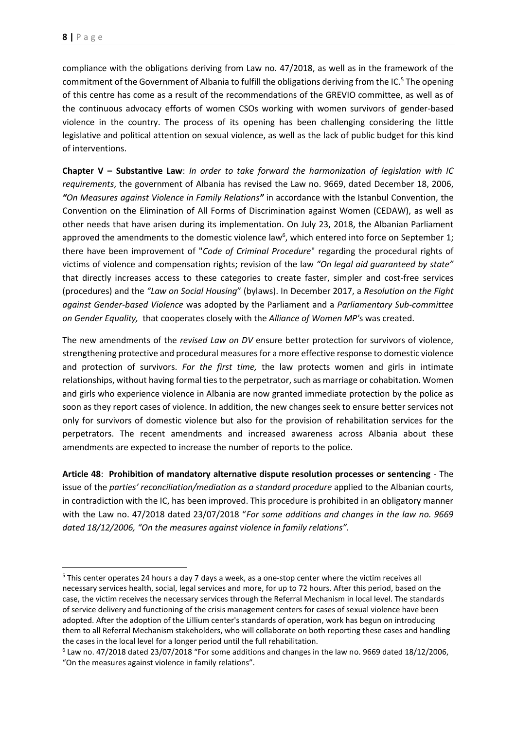1

compliance with the obligations deriving from Law no. 47/2018, as well as in the framework of the commitment of the Government of Albania to fulfill the obligations deriving from the IC.<sup>5</sup> The opening of this centre has come as a result of the recommendations of the GREVIO committee, as well as of the continuous advocacy efforts of women CSOs working with women survivors of gender-based violence in the country. The process of its opening has been challenging considering the little legislative and political attention on sexual violence, as well as the lack of public budget for this kind of interventions.

**Chapter V – Substantive Law**: *In order to take forward the harmonization of legislation with IC requirements*, the government of Albania has revised the Law no. 9669, dated December 18, 2006, *"On Measures against Violence in Family Relations"* in accordance with the Istanbul Convention, the Convention on the Elimination of All Forms of Discrimination against Women (CEDAW), as well as other needs that have arisen during its implementation. On July 23, 2018, the Albanian Parliament approved the amendments to the domestic violence law<sup>6</sup>, which entered into force on September 1; there have been improvement of "*Code of Criminal Procedure*" regarding the procedural rights of victims of violence and compensation rights; revision of the law *"On legal aid guaranteed by state"* that directly increases access to these categories to create faster, simpler and cost-free services (procedures) and the *"Law on Social Housing*" (bylaws). In December 2017, a *Resolution on the Fight against Gender-based Violence* was adopted by the Parliament and a *Parliamentary Sub-committee on Gender Equality,* that cooperates closely with the *Alliance of Women MP'*s was created.

The new amendments of the *revised Law on DV* ensure better protection for survivors of violence, strengthening protective and procedural measures for a more effective response to domestic violence and protection of survivors. *For the first time,* the law protects women and girls in intimate relationships, without having formal ties to the perpetrator, such as marriage or cohabitation. Women and girls who experience violence in Albania are now granted immediate protection by the police as soon as they report cases of violence. In addition, the new changes seek to ensure better services not only for survivors of domestic violence but also for the provision of rehabilitation services for the perpetrators. The recent amendments and increased awareness across Albania about these amendments are expected to increase the number of reports to the police.

**Article 48**: **Prohibition of mandatory alternative dispute resolution processes or sentencing** - The issue of the *parties' reconciliation/mediation as a standard procedure* applied to the Albanian courts, in contradiction with the IC, has been improved. This procedure is prohibited in an obligatory manner with the Law no. 47/2018 dated 23/07/2018 "*For some additions and changes in the law no. 9669 dated 18/12/2006, "On the measures against violence in family relations".* 

<sup>&</sup>lt;sup>5</sup> This center operates 24 hours a day 7 days a week, as a one-stop center where the victim receives all necessary services health, social, legal services and more, for up to 72 hours. After this period, based on the case, the victim receives the necessary services through the Referral Mechanism in local level. The standards of service delivery and functioning of the crisis management centers for cases of sexual violence have been adopted. After the adoption of the Lillium center's standards of operation, work has begun on introducing them to all Referral Mechanism stakeholders, who will collaborate on both reporting these cases and handling the cases in the local level for a longer period until the full rehabilitation.

<sup>6</sup> Law no. 47/2018 dated 23/07/2018 "For some additions and changes in the law no. 9669 dated 18/12/2006, "On the measures against violence in family relations".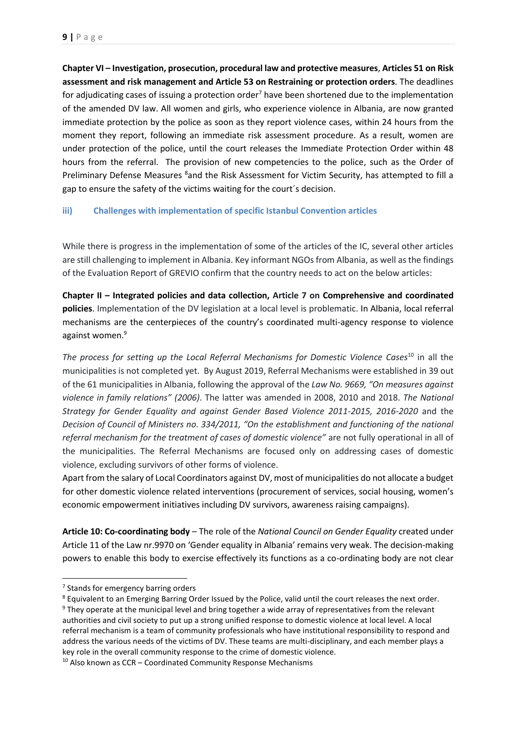**Chapter VI – Investigation, prosecution, procedural law and protective measures**, **Articles 51 on Risk assessment and risk management and Article 53 on Restraining or protection orders***.* The deadlines for adjudicating cases of issuing a protection order<sup>7</sup> have been shortened due to the implementation of the amended DV law. All women and girls, who experience violence in Albania, are now granted immediate protection by the police as soon as they report violence cases, within 24 hours from the moment they report, following an immediate risk assessment procedure. As a result, women are under protection of the police, until the court releases the Immediate Protection Order within 48 hours from the referral. The provision of new competencies to the police, such as the Order of Preliminary Defense Measures 8and the Risk Assessment for Victim Security, has attempted to fill a gap to ensure the safety of the victims waiting for the court´s decision.

## <span id="page-9-0"></span>**iii) Challenges with implementation of specific Istanbul Convention articles**

While there is progress in the implementation of some of the articles of the IC, several other articles are still challenging to implement in Albania. Key informant NGOs from Albania, as well as the findings of the Evaluation Report of GREVIO confirm that the country needs to act on the below articles:

**Chapter II – Integrated policies and data collection, Article 7 on Comprehensive and coordinated policies**. Implementation of the DV legislation at a local level is problematic. In Albania, local referral mechanisms are the centerpieces of the country's coordinated multi-agency response to violence against women.<sup>9</sup>

*The process for setting up the Local Referral Mechanisms for Domestic Violence Cases*<sup>10</sup> in all the municipalities is not completed yet. By August 2019, Referral Mechanisms were established in 39 out of the 61 municipalities in Albania, following the approval of the *Law No. 9669, "On measures against violence in family relations" (2006)*. The latter was amended in 2008, 2010 and 2018. *The National Strategy for Gender Equality and against Gender Based Violence 2011-2015, 2016-2020* and the *Decision of Council of Ministers no. 334/2011, "On the establishment and functioning of the national referral mechanism for the treatment of cases of domestic violence"* are not fully operational in all of the municipalities. The Referral Mechanisms are focused only on addressing cases of domestic violence, excluding survivors of other forms of violence.

Apart from the salary of Local Coordinators against DV, most of municipalities do not allocate a budget for other domestic violence related interventions (procurement of services, social housing, women's economic empowerment initiatives including DV survivors, awareness raising campaigns).

**Article 10: Co-coordinating body** – The role of the *National Council on Gender Equality* created under Article 11 of the Law nr.9970 on 'Gender equality in Albania' remains very weak. The decision-making powers to enable this body to exercise effectively its functions as a co-ordinating body are not clear

1

<sup>8</sup> Equivalent to an Emerging Barring Order Issued by the Police, valid until the court releases the next order.

<sup>&</sup>lt;sup>7</sup> Stands for emergency barring orders

<sup>9</sup> They operate at the municipal level and bring together a wide array of representatives from the relevant authorities and civil society to put up a strong unified response to domestic violence at local level. A local referral mechanism is a team of community professionals who have institutional responsibility to respond and address the various needs of the victims of DV. These teams are multi-disciplinary, and each member plays a key role in the overall community response to the crime of domestic violence.

 $10$  Also known as CCR – Coordinated Community Response Mechanisms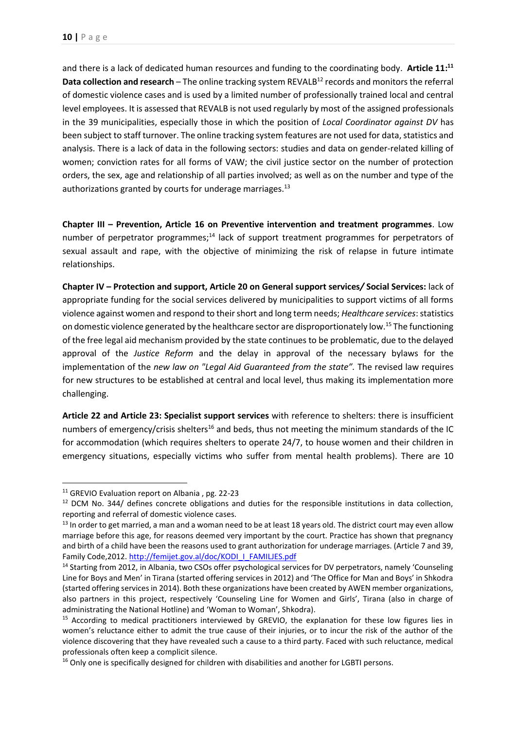and there is a lack of dedicated human resources and funding to the coordinating body. **Article 11: 11 Data collection and research** – The online tracking system REVALB<sup>12</sup> records and monitors the referral of domestic violence cases and is used by a limited number of professionally trained local and central level employees. It is assessed that REVALB is not used regularly by most of the assigned professionals in the 39 municipalities, especially those in which the position of *Local Coordinator against DV* has been subject to staff turnover. The online tracking system features are not used for data, statistics and analysis. There is a lack of data in the following sectors: studies and data on gender-related killing of women; conviction rates for all forms of VAW; the civil justice sector on the number of protection orders, the sex, age and relationship of all parties involved; as well as on the number and type of the authorizations granted by courts for underage marriages.<sup>13</sup>

**Chapter III – Prevention, Article 16 on Preventive intervention and treatment programmes**. Low number of perpetrator programmes;<sup>14</sup> lack of support treatment programmes for perpetrators of sexual assault and rape, with the objective of minimizing the risk of relapse in future intimate relationships.

**Chapter IV – Protection and support, Article 20 on General support services***/* **Social Services:** lack of appropriate funding for the social services delivered by municipalities to support victims of all forms violence against women and respond to their short and long term needs; *Healthcare services*:statistics on domestic violence generated by the healthcare sector are disproportionately low. <sup>15</sup> The functioning of the free legal aid mechanism provided by the state continues to be problematic, due to the delayed approval of the *Justice Reform* and the delay in approval of the necessary bylaws for the implementation of the *new law on "Legal Aid Guaranteed from the state".* The revised law requires for new structures to be established at central and local level, thus making its implementation more challenging.

**Article 22 and Article 23: Specialist support services** with reference to shelters: there is insufficient numbers of emergency/crisis shelters<sup>16</sup> and beds, thus not meeting the minimum standards of the IC for accommodation (which requires shelters to operate 24/7, to house women and their children in emergency situations, especially victims who suffer from mental health problems). There are 10

<sup>&</sup>lt;sup>11</sup> GREVIO Evaluation report on Albania, pg. 22-23

 $12$  DCM No. 344/ defines concrete obligations and duties for the responsible institutions in data collection, reporting and referral of domestic violence cases.

<sup>&</sup>lt;sup>13</sup> In order to get married, a man and a woman need to be at least 18 years old. The district court may even allow marriage before this age, for reasons deemed very important by the court. Practice has shown that pregnancy and birth of a child have been the reasons used to grant authorization for underage marriages. (Article 7 and 39, Family Code,2012. [http://femijet.gov.al/doc/KODI\\_I\\_FAMILJES.pdf](http://femijet.gov.al/doc/KODI_I_FAMILJES.pdf)

<sup>&</sup>lt;sup>14</sup> Starting from 2012, in Albania, two CSOs offer psychological services for DV perpetrators, namely 'Counseling Line for Boys and Men' in Tirana (started offering services in 2012) and 'The Office for Man and Boys' in Shkodra (started offering services in 2014). Both these organizations have been created by AWEN member organizations, also partners in this project, respectively 'Counseling Line for Women and Girls', Tirana (also in charge of administrating the National Hotline) and 'Woman to Woman', Shkodra).

<sup>&</sup>lt;sup>15</sup> According to medical practitioners interviewed by GREVIO, the explanation for these low figures lies in women's reluctance either to admit the true cause of their injuries, or to incur the risk of the author of the violence discovering that they have revealed such a cause to a third party. Faced with such reluctance, medical professionals often keep a complicit silence.

<sup>&</sup>lt;sup>16</sup> Only one is specifically designed for children with disabilities and another for LGBTI persons.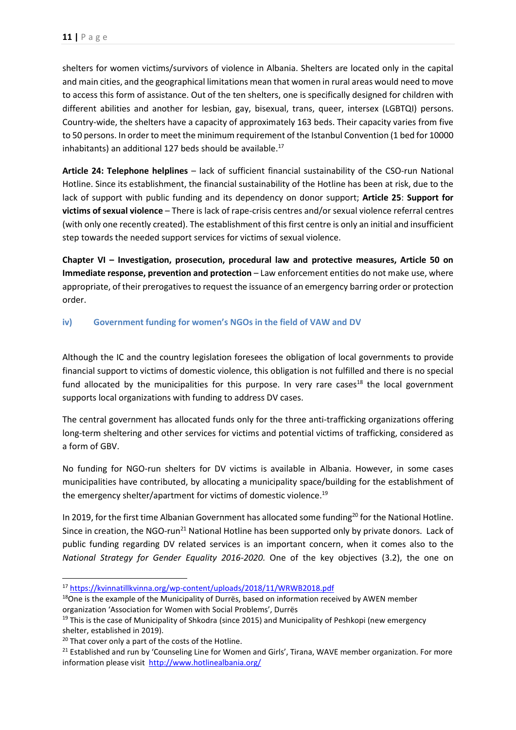shelters for women victims/survivors of violence in Albania. Shelters are located only in the capital and main cities, and the geographical limitations mean that women in rural areas would need to move to access this form of assistance. Out of the ten shelters, one is specifically designed for children with different abilities and another for lesbian, gay, bisexual, trans, queer, intersex (LGBTQI) persons. Country-wide, the shelters have a capacity of approximately 163 beds. Their capacity varies from five to 50 persons. In order to meet the minimum requirement of the Istanbul Convention (1 bed for 10000 inhabitants) an additional 127 beds should be available. 17

**Article 24: Telephone helplines** – lack of sufficient financial sustainability of the CSO-run National Hotline. Since its establishment, the financial sustainability of the Hotline has been at risk, due to the lack of support with public funding and its dependency on donor support; **Article 25**: **Support for victims of sexual violence** – There is lack of rape-crisis centres and/or sexual violence referral centres (with only one recently created). The establishment of this first centre is only an initial and insufficient step towards the needed support services for victims of sexual violence.

**Chapter VI – Investigation, prosecution, procedural law and protective measures, Article 50 on Immediate response, prevention and protection** – Law enforcement entities do not make use, where appropriate, of their prerogatives to request the issuance of an emergency barring order or protection order.

## <span id="page-11-0"></span>**iv) Government funding for women's NGOs in the field of VAW and DV**

Although the IC and the country legislation foresees the obligation of local governments to provide financial support to victims of domestic violence, this obligation is not fulfilled and there is no special fund allocated by the municipalities for this purpose. In very rare cases<sup>18</sup> the local government supports local organizations with funding to address DV cases.

The central government has allocated funds only for the three anti-trafficking organizations offering long-term sheltering and other services for victims and potential victims of trafficking, considered as a form of GBV.

No funding for NGO-run shelters for DV victims is available in Albania. However, in some cases municipalities have contributed, by allocating a municipality space/building for the establishment of the emergency shelter/apartment for victims of domestic violence.<sup>19</sup>

In 2019, for the first time Albanian Government has allocated some funding<sup>20</sup> for the National Hotline. Since in creation, the NGO-run<sup>21</sup> National Hotline has been supported only by private donors. Lack of public funding regarding DV related services is an important concern, when it comes also to the *National Strategy for Gender Equality 2016-2020.* One of the key objectives (3.2), the one on

<sup>17</sup> <https://kvinnatillkvinna.org/wp-content/uploads/2018/11/WRWB2018.pdf>

 $18$ One is the example of the Municipality of Durrës, based on information received by AWEN member organization 'Association for Women with Social Problems', Durrës

 $19$  This is the case of Municipality of Shkodra (since 2015) and Municipality of Peshkopi (new emergency shelter, established in 2019).

<sup>&</sup>lt;sup>20</sup> That cover only a part of the costs of the Hotline.

<sup>&</sup>lt;sup>21</sup> Established and run by 'Counseling Line for Women and Girls', Tirana, WAVE member organization. For more information please visit <http://www.hotlinealbania.org/>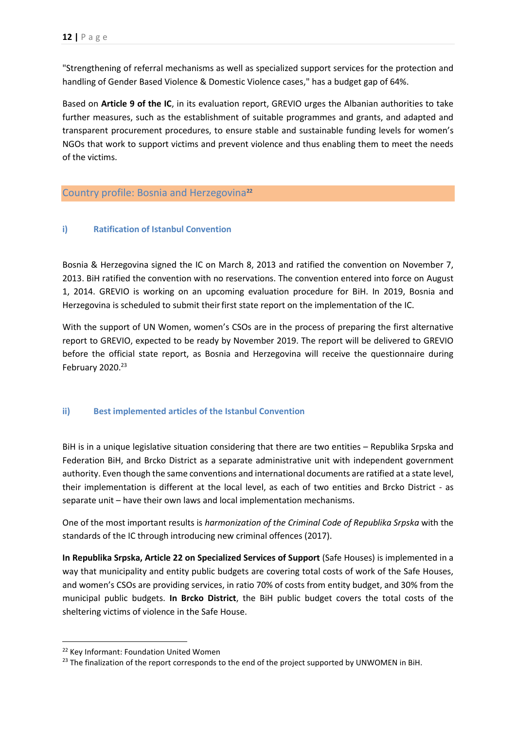"Strengthening of referral mechanisms as well as specialized support services for the protection and handling of Gender Based Violence & Domestic Violence cases," has a budget gap of 64%.

Based on **Article 9 of the IC**, in its evaluation report, GREVIO urges the Albanian authorities to take further measures, such as the establishment of suitable programmes and grants, and adapted and transparent procurement procedures, to ensure stable and sustainable funding levels for women's NGOs that work to support victims and prevent violence and thus enabling them to meet the needs of the victims.

# <span id="page-12-0"></span>Country profile: Bosnia and Herzegovina**<sup>22</sup>**

#### <span id="page-12-1"></span>**i) Ratification of Istanbul Convention**

Bosnia & Herzegovina signed the IC on March 8, 2013 and ratified the convention on November 7, 2013. BiH ratified the convention with no reservations. The convention entered into force on August 1, 2014. GREVIO is working on an upcoming evaluation procedure for BiH. In 2019, Bosnia and Herzegovina is scheduled to submit their first state report on the implementation of the IC.

With the support of UN Women, women's CSOs are in the process of preparing the first alternative report to GREVIO, expected to be ready by November 2019. The report will be delivered to GREVIO before the official state report, as Bosnia and Herzegovina will receive the questionnaire during February 2020.<sup>23</sup>

#### <span id="page-12-2"></span>**ii) Best implemented articles of the Istanbul Convention**

BiH is in a unique legislative situation considering that there are two entities – Republika Srpska and Federation BiH, and Brcko District as a separate administrative unit with independent government authority. Even though the same conventions and international documents are ratified at a state level, their implementation is different at the local level, as each of two entities and Brcko District - as separate unit – have their own laws and local implementation mechanisms.

One of the most important results is *harmonization of the Criminal Code of Republika Srpska* with the standards of the IC through introducing new criminal offences (2017).

**In Republika Srpska, Article 22 on Specialized Services of Support** (Safe Houses) is implemented in a way that municipality and entity public budgets are covering total costs of work of the Safe Houses, and women's CSOs are providing services, in ratio 70% of costs from entity budget, and 30% from the municipal public budgets. **In Brcko District**, the BiH public budget covers the total costs of the sheltering victims of violence in the Safe House.

<sup>22</sup> Key Informant: Foundation United Women

<sup>&</sup>lt;sup>23</sup> The finalization of the report corresponds to the end of the project supported by UNWOMEN in BiH.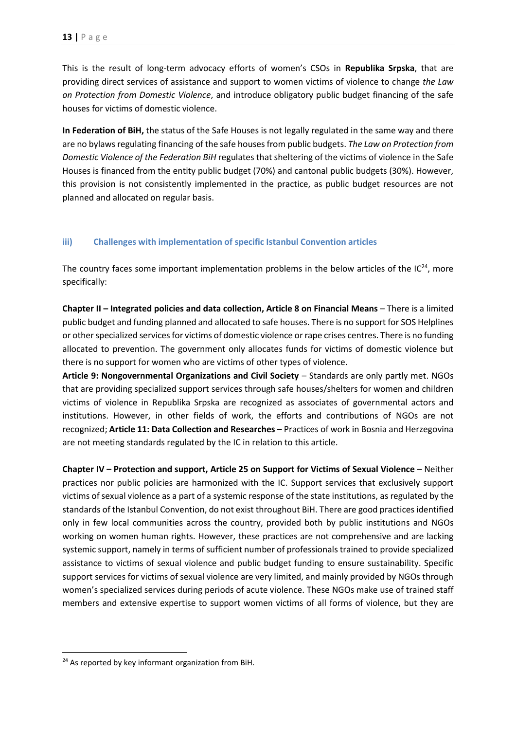This is the result of long-term advocacy efforts of women's CSOs in **Republika Srpska**, that are providing direct services of assistance and support to women victims of violence to change *the Law on Protection from Domestic Violence*, and introduce obligatory public budget financing of the safe houses for victims of domestic violence.

**In Federation of BiH,** the status of the Safe Houses is not legally regulated in the same way and there are no bylaws regulating financing of the safe houses from public budgets. *The Law on Protection from Domestic Violence of the Federation BiH* regulates that sheltering of the victims of violence in the Safe Houses is financed from the entity public budget (70%) and cantonal public budgets (30%). However, this provision is not consistently implemented in the practice, as public budget resources are not planned and allocated on regular basis.

#### <span id="page-13-0"></span>**iii) Challenges with implementation of specific Istanbul Convention articles**

The country faces some important implementation problems in the below articles of the  $IC^{24}$ , more specifically:

**Chapter II – Integrated policies and data collection, Article 8 on Financial Means** – There is a limited public budget and funding planned and allocated to safe houses. There is no support for SOS Helplines or other specialized services for victims of domestic violence or rape crises centres. There is no funding allocated to prevention. The government only allocates funds for victims of domestic violence but there is no support for women who are victims of other types of violence.

**Article 9: Nongovernmental Organizations and Civil Society** – Standards are only partly met. NGOs that are providing specialized support services through safe houses/shelters for women and children victims of violence in Republika Srpska are recognized as associates of governmental actors and institutions. However, in other fields of work, the efforts and contributions of NGOs are not recognized; **Article 11: Data Collection and Researches** – Practices of work in Bosnia and Herzegovina are not meeting standards regulated by the IC in relation to this article.

**Chapter IV – Protection and support, Article 25 on Support for Victims of Sexual Violence** – Neither practices nor public policies are harmonized with the IC. Support services that exclusively support victims of sexual violence as a part of a systemic response of the state institutions, as regulated by the standards of the Istanbul Convention, do not exist throughout BiH. There are good practices identified only in few local communities across the country, provided both by public institutions and NGOs working on women human rights. However, these practices are not comprehensive and are lacking systemic support, namely in terms of sufficient number of professionals trained to provide specialized assistance to victims of sexual violence and public budget funding to ensure sustainability. Specific support services for victims of sexual violence are very limited, and mainly provided by NGOs through women's specialized services during periods of acute violence. These NGOs make use of trained staff members and extensive expertise to support women victims of all forms of violence, but they are

**.** 

<sup>&</sup>lt;sup>24</sup> As reported by key informant organization from BiH.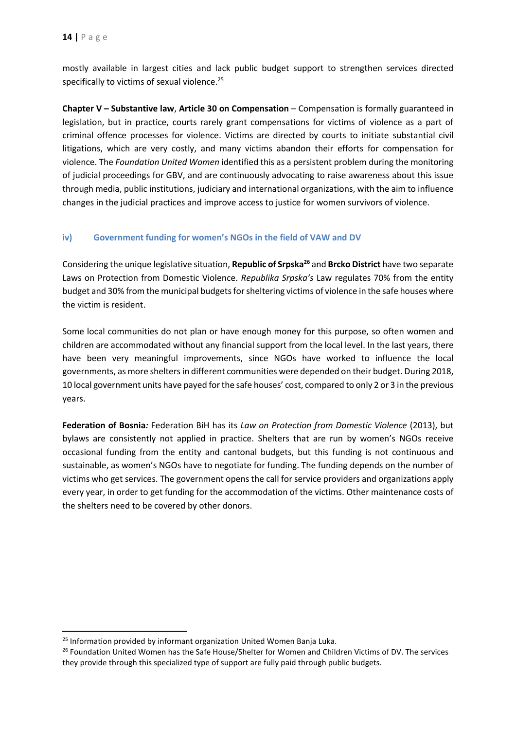mostly available in largest cities and lack public budget support to strengthen services directed specifically to victims of sexual violence.<sup>25</sup>

**Chapter V – Substantive law**, **Article 30 on Compensation** – Compensation is formally guaranteed in legislation, but in practice, courts rarely grant compensations for victims of violence as a part of criminal offence processes for violence. Victims are directed by courts to initiate substantial civil litigations, which are very costly, and many victims abandon their efforts for compensation for violence. The *Foundation United Women* identified this as a persistent problem during the monitoring of judicial proceedings for GBV, and are continuously advocating to raise awareness about this issue through media, public institutions, judiciary and international organizations, with the aim to influence changes in the judicial practices and improve access to justice for women survivors of violence.

#### <span id="page-14-0"></span>**iv) Government funding for women's NGOs in the field of VAW and DV**

Considering the unique legislative situation, **Republic of Srpska<sup>26</sup>** and **Brcko District** have two separate Laws on Protection from Domestic Violence. *Republika Srpska's* Law regulates 70% from the entity budget and 30% from the municipal budgets for sheltering victims of violence in the safe houses where the victim is resident.

Some local communities do not plan or have enough money for this purpose, so often women and children are accommodated without any financial support from the local level. In the last years, there have been very meaningful improvements, since NGOs have worked to influence the local governments, as more shelters in different communities were depended on their budget. During 2018, 10 local government units have payed for the safe houses' cost, compared to only 2 or 3 in the previous years.

**Federation of Bosnia***:* Federation BiH has its *Law on Protection from Domestic Violence* (2013), but bylaws are consistently not applied in practice. Shelters that are run by women's NGOs receive occasional funding from the entity and cantonal budgets, but this funding is not continuous and sustainable, as women's NGOs have to negotiate for funding. The funding depends on the number of victims who get services. The government opens the call for service providers and organizations apply every year, in order to get funding for the accommodation of the victims. Other maintenance costs of the shelters need to be covered by other donors.

**.** 

<sup>&</sup>lt;sup>25</sup> Information provided by informant organization United Women Banja Luka.

<sup>&</sup>lt;sup>26</sup> Foundation United Women has the Safe House/Shelter for Women and Children Victims of DV. The services they provide through this specialized type of support are fully paid through public budgets.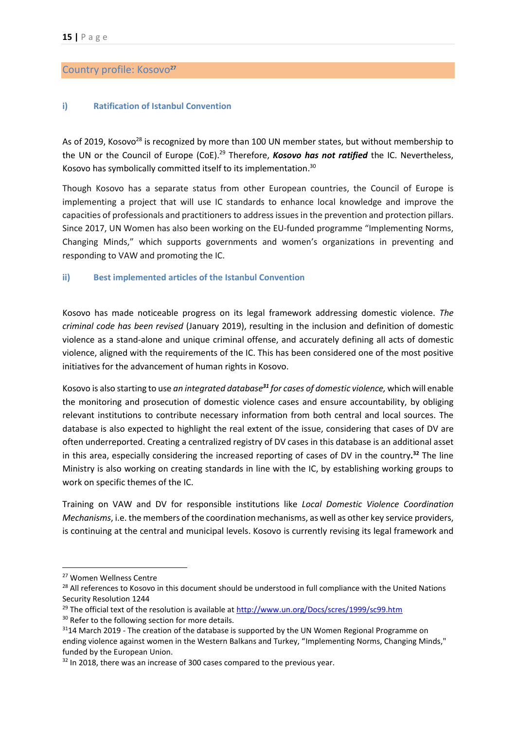#### <span id="page-15-0"></span>Country profile: Kosovo**<sup>27</sup>**

#### <span id="page-15-1"></span>**i) Ratification of Istanbul Convention**

As of 2019, Kosovo<sup>28</sup> is recognized by more than 100 UN member states, but without membership to the UN or the Council of Europe (CoE). <sup>29</sup> Therefore, *Kosovo has not ratified* the IC. Nevertheless, Kosovo has symbolically committed itself to its implementation.<sup>30</sup>

Though Kosovo has a separate status from other European countries, the Council of Europe is implementing a project that will use IC standards to enhance local knowledge and improve the capacities of professionals and practitioners to address issues in the prevention and protection pillars. Since 2017, UN Women has also been working on the EU-funded programme "Implementing Norms, Changing Minds," which supports governments and women's organizations in preventing and responding to VAW and promoting the IC.

#### <span id="page-15-2"></span>**ii) Best implemented articles of the Istanbul Convention**

Kosovo has made noticeable progress on its legal framework addressing domestic violence. *The criminal code has been revised* (January 2019), resulting in the inclusion and definition of domestic violence as a stand-alone and unique criminal offense, and accurately defining all acts of domestic violence, aligned with the requirements of the [IC.](https://www.coe.int/en/web/istanbul-convention/home) This has been considered one of the most positive initiatives for the advancement of human rights in Kosovo.

Kosovo is also starting to use *an integrated database<sup>31</sup> for cases of domestic violence,* which will enable the monitoring and prosecution of domestic violence cases and ensure accountability, by obliging relevant institutions to contribute necessary information from both central and local sources. The database is also expected to highlight the real extent of the issue, considering that cases of DV are often underreported. Creating a centralized registry of DV cases in this database is an additional asset in this area, especially considering the increased reporting of cases of DV in the country**. <sup>32</sup>** The line Ministry is also working on creating standards in line with the IC, by establishing working groups to work on specific themes of the IC.

Training on VAW and DV for responsible institutions like *Local Domestic Violence Coordination Mechanisms*, i.e. the members of the coordination mechanisms, as well as other key service providers, is continuing at the central and municipal levels. Kosovo is currently revising its legal framework and

<sup>27</sup> Women Wellness Centre

<sup>&</sup>lt;sup>28</sup> All references to Kosovo in this document should be understood in full compliance with the United Nations Security Resolution 1244

<sup>&</sup>lt;sup>29</sup> The official text of the resolution is available at<http://www.un.org/Docs/scres/1999/sc99.htm>

<sup>&</sup>lt;sup>30</sup> Refer to the following section for more details.

 $31$ 14 March 2019 - The creation of the database is supported by the UN Women Regional Programme on ending violence against women in the Western Balkans and Turkey, "[Implementing Norms, Changing Minds,](http://eca.unwomen.org/en/what-we-do/ending-violence-against-women/regional-programme-in-the-western-balkans-and-turkey)" funded by the European Union.

<sup>&</sup>lt;sup>32</sup> In 2018, there was an increase of 300 cases compared to the previous year.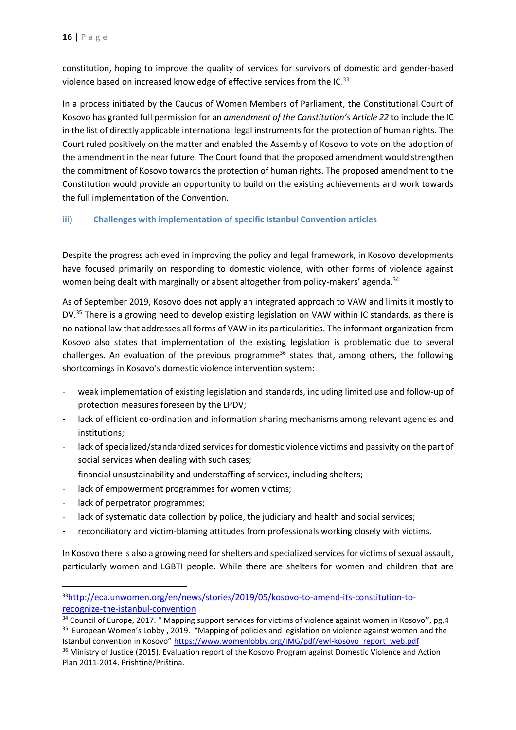constitution, hoping to improve the quality of services for survivors of domestic and gender-based violence based on increased knowledge of effective services from the IC.<sup>33</sup>

In a process initiated by the Caucus of Women Members of Parliament, the Constitutional Court of Kosovo has granted full permission for an *amendment of the Constitution's Article 22* to include the IC in the list of directly applicable international legal instruments for the protection of human rights. The Court ruled positively on the matter and enabled the Assembly of Kosovo to vote on the adoption of the amendment in the near future. The Court found that the proposed amendment would strengthen the commitment of Kosovo towards the protection of human rights. The proposed amendment to the Constitution would provide an opportunity to build on the existing achievements and work towards the full implementation of the Convention.

## <span id="page-16-0"></span>**iii) Challenges with implementation of specific Istanbul Convention articles**

Despite the progress achieved in improving the policy and legal framework, in Kosovo developments have focused primarily on responding to domestic violence, with other forms of violence against women being dealt with marginally or absent altogether from policy-makers' agenda.<sup>34</sup>

As of September 2019, Kosovo does not apply an integrated approach to VAW and limits it mostly to DV.<sup>35</sup> There is a growing need to develop existing legislation on VAW within IC standards, as there is no national law that addresses all forms of VAW in its particularities. The informant organization from Kosovo also states that implementation of the existing legislation is problematic due to several challenges. An evaluation of the previous programme<sup>36</sup> states that, among others, the following shortcomings in Kosovo's domestic violence intervention system:

- weak implementation of existing legislation and standards, including limited use and follow-up of protection measures foreseen by the LPDV;
- lack of efficient co-ordination and information sharing mechanisms among relevant agencies and institutions;
- lack of specialized/standardized services for domestic violence victims and passivity on the part of social services when dealing with such cases;
- financial unsustainability and understaffing of services, including shelters;
- lack of empowerment programmes for women victims;
- lack of perpetrator programmes;

**.** 

- lack of systematic data collection by police, the judiciary and health and social services;
- reconciliatory and victim-blaming attitudes from professionals working closely with victims.

In Kosovo there is also a growing need for shelters and specialized services for victims of sexual assault, particularly women and LGBTI people. While there are shelters for women and children that are

<sup>33</sup>[http://eca.unwomen.org/en/news/stories/2019/05/kosovo-to-amend-its-constitution-to](http://eca.unwomen.org/en/news/stories/2019/05/kosovo-to-amend-its-constitution-to-recognize-the-istanbul-convention)[recognize-the-istanbul-convention](http://eca.unwomen.org/en/news/stories/2019/05/kosovo-to-amend-its-constitution-to-recognize-the-istanbul-convention)

<sup>&</sup>lt;sup>34</sup> Council of Europe, 2017. " Mapping support services for victims of violence against women in Kosovo", pg.4 <sup>35</sup> European Women's Lobby, 2019. "Mapping of policies and legislation on violence against women and the Istanbul convention in Kosovo" [https://www.womenlobby.org/IMG/pdf/ewl-kosovo\\_report\\_web.pdf](https://www.womenlobby.org/IMG/pdf/ewl-kosovo_report_web.pdf) 

<sup>&</sup>lt;sup>36</sup> Ministry of Justice (2015). Evaluation report of the Kosovo Program against Domestic Violence and Action Plan 2011-2014. Prishtinë/Priština.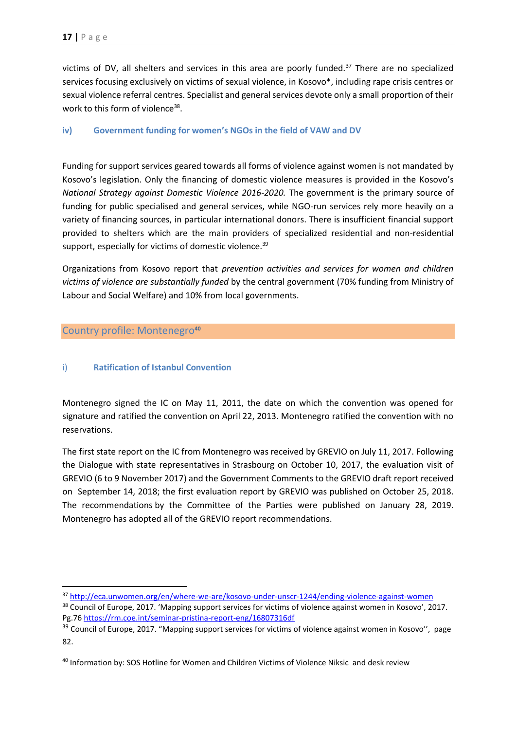victims of DV, all shelters and services in this area are poorly funded. $37$  There are no specialized services focusing exclusively on victims of sexual violence, in Kosovo\*, including rape crisis centres or sexual violence referral centres. Specialist and general services devote only a small proportion of their work to this form of violence<sup>38</sup>.

#### <span id="page-17-0"></span>**iv) Government funding for women's NGOs in the field of VAW and DV**

Funding for support services geared towards all forms of violence against women is not mandated by Kosovo's legislation. Only the financing of domestic violence measures is provided in the Kosovo's *National Strategy against Domestic Violence 2016-2020.* The government is the primary source of funding for public specialised and general services, while NGO-run services rely more heavily on a variety of financing sources, in particular international donors. There is insufficient financial support provided to shelters which are the main providers of specialized residential and non-residential support, especially for victims of domestic violence.<sup>39</sup>

Organizations from Kosovo report that *prevention activities and services for women and children victims of violence are substantially funded* by the central government (70% funding from Ministry of Labour and Social Welfare) and 10% from local governments.

### <span id="page-17-1"></span>Country profile: Montenegro**<sup>40</sup>**

**.** 

#### <span id="page-17-2"></span>i) **Ratification of Istanbul Convention**

Montenegro signed the IC on May 11, 2011, the date on which the convention was opened for signature and ratified the convention on April 22, 2013. Montenegro ratified the convention with no reservations.

The first state report on the IC from Montenegro was received by GREVIO on July 11, 2017. Following the [Dialogue with state representatives](https://www.coe.int/en/web/istanbul-convention/newsroom/-/asset_publisher/anlInZ5mw6yX/content/grevio-reviews-state-report-with-representatives-from-turkey?inheritRedirect=false&redirect=https%3A%2F%2Fwww.coe.int%2Fen%2Fweb%2Fistanbul-convention%2Fnewsroom%3Fp_p_id%3D101_INSTANCE_anlInZ5mw6yX%26p_p_lifecycle%3D0%26p_p_state%3Dnormal%26p_p_mode%3Dview%26p_p_col_id%3Dcolumn-1%26p_p_col_count%3D2) in Strasbourg on October 10, 2017, the [evaluation visit of](https://www.coe.int/en/web/istanbul-convention/newsroom/-/asset_publisher/anlInZ5mw6yX/content/council-of-europe-s-expert-group-on-violence-against-women-visits-turkey?inheritRedirect=false&redirect=https%3A%2F%2Fwww.coe.int%2Fen%2Fweb%2Fistanbul-convention%2Fnewsroom%3Fp_p_id%3D101_INSTANCE_anlInZ5mw6yX%26p_p_lifecycle%3D0%26p_p_state%3Dnormal%26p_p_mode%3Dview%26p_p_col_id%3Dcolumn-1%26p_p_col_count%3D2)  [GREVIO \(6 to 9 November 2017\)](https://www.coe.int/en/web/istanbul-convention/newsroom/-/asset_publisher/anlInZ5mw6yX/content/council-of-europe-s-expert-group-on-violence-against-women-visits-turkey?inheritRedirect=false&redirect=https%3A%2F%2Fwww.coe.int%2Fen%2Fweb%2Fistanbul-convention%2Fnewsroom%3Fp_p_id%3D101_INSTANCE_anlInZ5mw6yX%26p_p_lifecycle%3D0%26p_p_state%3Dnormal%26p_p_mode%3Dview%26p_p_col_id%3Dcolumn-1%26p_p_col_count%3D2) and the [Government Comments to the GREVIO draft report](https://rm.coe.int/turkey-s-final-comments-to-grevio-report/16808e5298) received on September 14, 2018; the [first evaluation report by GREVIO](https://rm.coe.int/eng-grevio-report-turquie/16808e5283) was published on October 25, 2018. The recommendations [by the Committee of the Parties](https://rm.coe.int/recommendations-of-the-committee-of-the-parties-for-turkey/pdfa/1680920060) were published on January 28, 2019. Montenegro has adopted all of the GREVIO report recommendations.

<sup>37</sup> <http://eca.unwomen.org/en/where-we-are/kosovo-under-unscr-1244/ending-violence-against-women> <sup>38</sup> Council of Europe, 2017. 'Mapping support services for victims of violence against women in Kosovo', 2017.

Pg.76<https://rm.coe.int/seminar-pristina-report-eng/16807316df>

<sup>&</sup>lt;sup>39</sup> Council of Europe, 2017. "Mapping support services for victims of violence against women in Kosovo", page 82.

<sup>40</sup> Information by: SOS Hotline for Women and Children Victims of Violence Niksic and desk review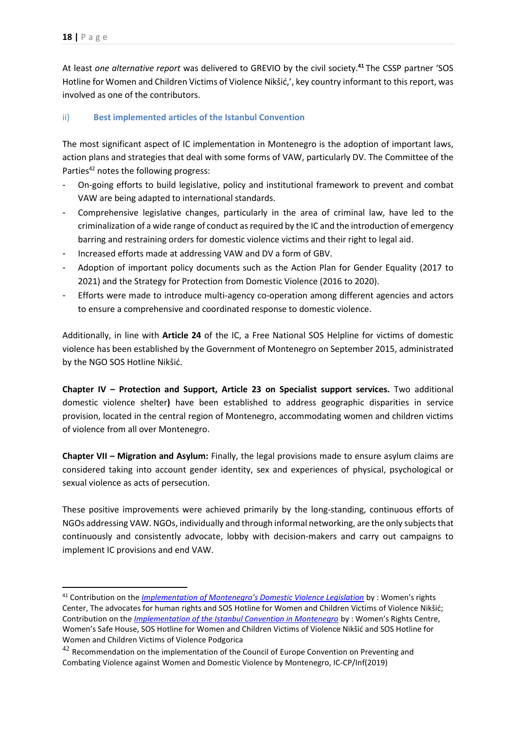1

At least *one alternative report* was delivered to GREVIO by the civil society. **<sup>41</sup>** The CSSP partner 'SOS Hotline for Women and Children Victims of Violence Nikšić,', key country informant to this report, was involved as one of the contributors.

## <span id="page-18-0"></span>ii) **Best implemented articles of the Istanbul Convention**

The most significant aspect of IC implementation in Montenegro is the adoption of important laws, action plans and strategies that deal with some forms of VAW, particularly DV. The Committee of the Parties<sup>42</sup> notes the following progress:

- On-going efforts to build legislative, policy and institutional framework to prevent and combat VAW are being adapted to international standards.
- Comprehensive legislative changes, particularly in the area of criminal law, have led to the criminalization of a wide range of conduct as required by the IC and the introduction of emergency barring and restraining orders for domestic violence victims and their right to legal aid.
- Increased efforts made at addressing VAW and DV a form of GBV.
- Adoption of important policy documents such as the Action Plan for Gender Equality (2017 to 2021) and the Strategy for Protection from Domestic Violence (2016 to 2020).
- Efforts were made to introduce multi-agency co-operation among different agencies and actors to ensure a comprehensive and coordinated response to domestic violence.

Additionally, in line with **Article 24** of the IC, a Free National SOS Helpline for victims of domestic violence has been established by the Government of Montenegro on September 2015, administrated by the NGO SOS Hotline Nikšić.

**Chapter IV – Protection and Support, Article 23 on Specialist support services.** Two additional domestic violence shelter**)** have been established to address geographic disparities in service provision, located in the central region of Montenegro, accommodating women and children victims of violence from all over Montenegro.

**Chapter VII – Migration and Asylum:** Finally, the legal provisions made to ensure asylum claims are considered taking into account gender identity, sex and experiences of physical, psychological or sexual violence as acts of persecution.

These positive improvements were achieved primarily by the long-standing, continuous efforts of NGOs addressing VAW. NGOs, individually and through informal networking, are the only subjects that continuously and consistently advocate, lobby with decision-makers and carry out campaigns to implement IC provisions and end VAW.

<sup>41</sup> Contribution on the *[Implementation of Montenegro's Domestic Violence Legislation](http://rm.coe.int/ngo-1-report-to-grevio/168073c75d)* by : Women's rights Center, The advocates for human rights and SOS Hotline for Women and Children Victims of Violence Nikšić; Contribution on the *[Implementation of the Istanbul Convention in Montenegro](http://rm.coe.int/report-ngo-montenegro-2/168073c980)* by : Women's Rights Centre, Women's Safe House, SOS Hotline for Women and Children Victims of Violence Nikšić and SOS Hotline for Women and Children Victims of Violence Podgorica

 $42$  Recommendation on the implementation of the Council of Europe Convention on Preventing and Combating Violence against Women and Domestic Violence by Montenegro, IC-CP/Inf(2019)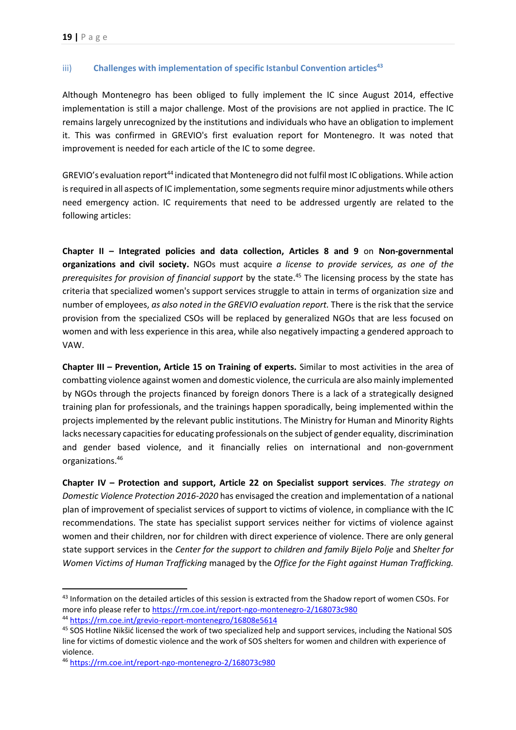#### <span id="page-19-0"></span>iii) **Challenges with implementation of specific Istanbul Convention articles<sup>43</sup>**

Although Montenegro has been obliged to fully implement the IC since August 2014, effective implementation is still a major challenge. Most of the provisions are not applied in practice. The IC remains largely unrecognized by the institutions and individuals who have an obligation to implement it. This was confirmed in GREVIO's first evaluation report for Montenegro. It was noted that improvement is needed for each article of the IC to some degree.

GREVIO's evaluation report<sup>44</sup> indicated that Montenegro did not fulfil most IC obligations. While action is required in all aspects of IC implementation, some segments require minor adjustments while others need emergency action. IC requirements that need to be addressed urgently are related to the following articles:

**Chapter II – Integrated policies and data collection, Articles 8 and 9** on **Non-governmental organizations and civil society.** NGOs must acquire *a license to provide services, as one of the prerequisites for provision of financial support* by the state. <sup>45</sup> The licensing process by the state has criteria that specialized women's support services struggle to attain in terms of organization size and number of employees, *as also noted in the GREVIO evaluation report.* There is the risk that the service provision from the specialized CSOs will be replaced by generalized NGOs that are less focused on women and with less experience in this area, while also negatively impacting a gendered approach to VAW.

**Chapter III – Prevention, Article 15 on Training of experts.** Similar to most activities in the area of combatting violence against women and domestic violence, the curricula are also mainly implemented by NGOs through the projects financed by foreign donors There is a lack of a strategically designed training plan for professionals, and the trainings happen sporadically, being implemented within the projects implemented by the relevant public institutions. The Ministry for Human and Minority Rights lacks necessary capacities for educating professionals on the subject of gender equality, discrimination and gender based violence, and it financially relies on international and non-government organizations.<sup>46</sup>

**Chapter IV – Protection and support, Article 22 on Specialist support services**. *The strategy on Domestic Violence Protection 2016-2020* has envisaged the creation and implementation of a national plan of improvement of specialist services of support to victims of violence, in compliance with the IC recommendations. The state has specialist support services neither for victims of violence against women and their children, nor for children with direct experience of violence. There are only general state support services in the *Center for the support to children and family Bijelo Polje* and *Shelter for Women Victims of Human Trafficking* managed by the *Office for the Fight against Human Trafficking.* 

**.** 

<sup>&</sup>lt;sup>43</sup> Information on the detailed articles of this session is extracted from the Shadow report of women CSOs. For more info please refer t[o https://rm.coe.int/report-ngo-montenegro-2/168073c980](https://rm.coe.int/report-ngo-montenegro-2/168073c980) <sup>44</sup> https://rm.coe.int/grevio-report-montenegro/16808e5614

<sup>&</sup>lt;sup>45</sup> SOS Hotline Nikšić licensed the work of two specialized help and support services, including the National SOS line for victims of domestic violence and the work of SOS shelters for women and children with experience of violence.

<sup>46</sup> <https://rm.coe.int/report-ngo-montenegro-2/168073c980>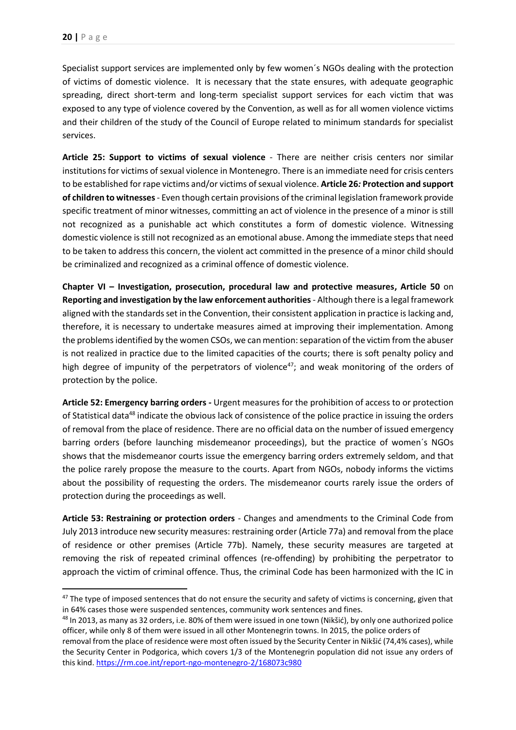Specialist support services are implemented only by few women´s NGOs dealing with the protection of victims of domestic violence. It is necessary that the state ensures, with adequate geographic spreading, direct short-term and long-term specialist support services for each victim that was exposed to any type of violence covered by the Convention, as well as for all women violence victims and their children of the study of the Council of Europe related to minimum standards for specialist services.

**Article 25: Support to victims of sexual violence** - There are neither crisis centers nor similar institutions for victims of sexual violence in Montenegro. There is an immediate need for crisis centers to be established for rape victims and/or victims of sexual violence. **Article 26***:* **Protection and support of children to witnesses**- Even though certain provisions of the criminal legislation framework provide specific treatment of minor witnesses, committing an act of violence in the presence of a minor is still not recognized as a punishable act which constitutes a form of domestic violence. Witnessing domestic violence is still not recognized as an emotional abuse. Among the immediate steps that need to be taken to address this concern, the violent act committed in the presence of a minor child should be criminalized and recognized as a criminal offence of domestic violence.

**Chapter VI – Investigation, prosecution, procedural law and protective measures, Article 50** on **Reporting and investigation by the law enforcement authorities**- Although there is a legal framework aligned with the standards set in the Convention, their consistent application in practice is lacking and, therefore, it is necessary to undertake measures aimed at improving their implementation. Among the problems identified by the women CSOs, we can mention: separation of the victim from the abuser is not realized in practice due to the limited capacities of the courts; there is soft penalty policy and high degree of impunity of the perpetrators of violence<sup>47</sup>; and weak monitoring of the orders of protection by the police.

**Article 52: Emergency barring orders** *-* Urgent measures for the prohibition of access to or protection of Statistical data<sup>48</sup> indicate the obvious lack of consistence of the police practice in issuing the orders of removal from the place of residence. There are no official data on the number of issued emergency barring orders (before launching misdemeanor proceedings), but the practice of women´s NGOs shows that the misdemeanor courts issue the emergency barring orders extremely seldom, and that the police rarely propose the measure to the courts. Apart from NGOs, nobody informs the victims about the possibility of requesting the orders. The misdemeanor courts rarely issue the orders of protection during the proceedings as well.

**Article 53: Restraining or protection orders** - Changes and amendments to the Criminal Code from July 2013 introduce new security measures: restraining order (Article 77a) and removal from the place of residence or other premises (Article 77b). Namely, these security measures are targeted at removing the risk of repeated criminal offences (re-offending) by prohibiting the perpetrator to approach the victim of criminal offence. Thus, the criminal Code has been harmonized with the IC in

<sup>&</sup>lt;sup>47</sup> The type of imposed sentences that do not ensure the security and safety of victims is concerning, given that in 64% cases those were suspended sentences, community work sentences and fines.

<sup>&</sup>lt;sup>48</sup> In 2013, as many as 32 orders, i.e. 80% of them were issued in one town (Nikšić), by only one authorized police officer, while only 8 of them were issued in all other Montenegrin towns. In 2015, the police orders of

removal from the place of residence were most often issued by the Security Center in Nikšić (74,4% cases), while the Security Center in Podgorica, which covers 1/3 of the Montenegrin population did not issue any orders of this kind.<https://rm.coe.int/report-ngo-montenegro-2/168073c980>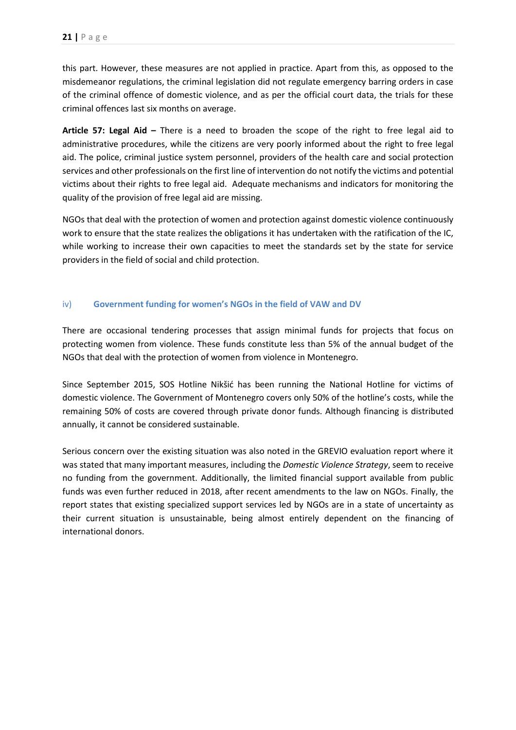this part. However, these measures are not applied in practice. Apart from this, as opposed to the misdemeanor regulations, the criminal legislation did not regulate emergency barring orders in case of the criminal offence of domestic violence, and as per the official court data, the trials for these criminal offences last six months on average.

**Article 57: Legal Aid –** There is a need to broaden the scope of the right to free legal aid to administrative procedures, while the citizens are very poorly informed about the right to free legal aid. The police, criminal justice system personnel, providers of the health care and social protection services and other professionals on the first line of intervention do not notify the victims and potential victims about their rights to free legal aid. Adequate mechanisms and indicators for monitoring the quality of the provision of free legal aid are missing.

NGOs that deal with the protection of women and protection against domestic violence continuously work to ensure that the state realizes the obligations it has undertaken with the ratification of the IC, while working to increase their own capacities to meet the standards set by the state for service providers in the field of social and child protection.

#### <span id="page-21-0"></span>iv) **Government funding for women's NGOs in the field of VAW and DV**

There are occasional tendering processes that assign minimal funds for projects that focus on protecting women from violence. These funds constitute less than 5% of the annual budget of the NGOs that deal with the protection of women from violence in Montenegro.

Since September 2015, SOS Hotline Nikšić has been running the National Hotline for victims of domestic violence. The Government of Montenegro covers only 50% of the hotline's costs, while the remaining 50% of costs are covered through private donor funds. Although financing is distributed annually, it cannot be considered sustainable.

Serious concern over the existing situation was also noted in the GREVIO evaluation report where it was stated that many important measures, including the *Domestic Violence Strategy*, seem to receive no funding from the government. Additionally, the limited financial support available from public funds was even further reduced in 2018, after recent amendments to the law on NGOs. Finally, the report states that existing specialized support services led by NGOs are in a state of uncertainty as their current situation is unsustainable, being almost entirely dependent on the financing of international donors.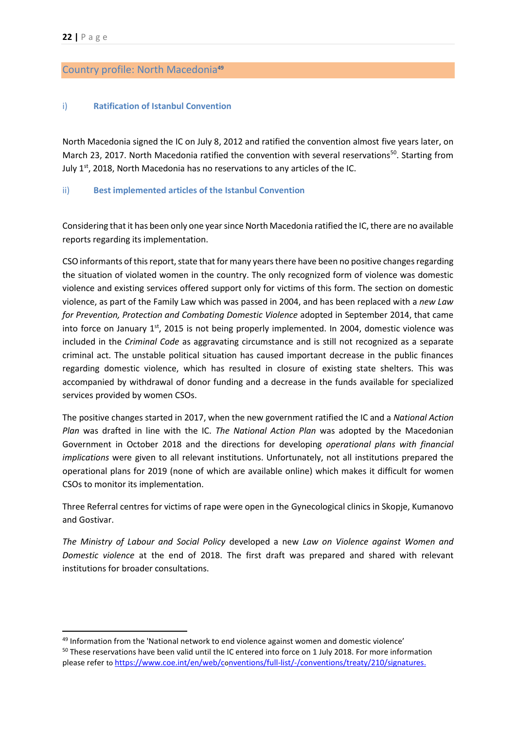#### <span id="page-22-0"></span>Country profile: North Macedonia**<sup>49</sup>**

#### <span id="page-22-1"></span>i) **Ratification of Istanbul Convention**

North Macedonia signed the IC on July 8, 2012 and ratified the convention almost five years later, on March 23, 2017. North Macedonia ratified the convention with several reservations<sup>50</sup>. Starting from July 1<sup>st</sup>, 2018, North Macedonia has no reservations to any articles of the IC.

#### <span id="page-22-2"></span>ii) **Best implemented articles of the Istanbul Convention**

Considering that it has been only one year since North Macedonia ratified the IC, there are no available reports regarding its implementation.

CSO informants of this report, state that for many years there have been no positive changes regarding the situation of violated women in the country. The only recognized form of violence was domestic violence and existing services offered support only for victims of this form. The section on domestic violence, as part of the Family Law which was passed in 2004, and has been replaced with a *new Law for Prevention, Protection and Combating Domestic Violence* adopted in September 2014, that came into force on January 1<sup>st</sup>, 2015 is not being properly implemented. In 2004, domestic violence was included in the *Criminal Code* as aggravating circumstance and is still not recognized as a separate criminal act. The unstable political situation has caused important decrease in the public finances regarding domestic violence, which has resulted in closure of existing state shelters. This was accompanied by withdrawal of donor funding and a decrease in the funds available for specialized services provided by women CSOs.

The positive changes started in 2017, when the new government ratified the IC and a *National Action Plan* was drafted in line with the IC. *The National Action Plan* was adopted by the Macedonian Government in October 2018 and the directions for developing *operational plans with financial implications* were given to all relevant institutions. Unfortunately, not all institutions prepared the operational plans for 2019 (none of which are available online) which makes it difficult for women CSOs to monitor its implementation.

Three Referral centres for victims of rape were open in the Gynecological clinics in Skopje, Kumanovo and Gostivar.

*The Ministry of Labour and Social Policy* developed a new *Law on Violence against Women and Domestic violence* at the end of 2018. The first draft was prepared and shared with relevant institutions for broader consultations.

<sup>49</sup> Information from the 'National network to end violence against women and domestic violence' <sup>50</sup> These reservations have been valid until the IC entered into force on 1 July 2018. For more information please refer to https://www.coe.int/en/web/co[nventions/full-list/-/conventions/treaty/210/signatures.](https://www.coe.int/en/web/conventions/full-list/-/conventions/treaty/210/signatures)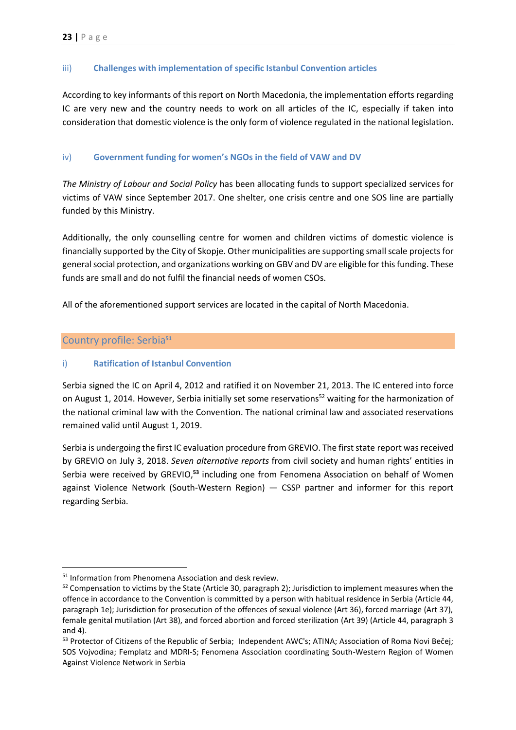#### <span id="page-23-0"></span>iii) **Challenges with implementation of specific Istanbul Convention articles**

According to key informants of this report on North Macedonia, the implementation efforts regarding IC are very new and the country needs to work on all articles of the IC, especially if taken into consideration that domestic violence is the only form of violence regulated in the national legislation.

#### <span id="page-23-1"></span>iv) **Government funding for women's NGOs in the field of VAW and DV**

*The Ministry of Labour and Social Policy* has been allocating funds to support specialized services for victims of VAW since September 2017. One shelter, one crisis centre and one SOS line are partially funded by this Ministry.

Additionally, the only counselling centre for women and children victims of domestic violence is financially supported by the City of Skopje. Other municipalities are supporting small scale projects for general social protection, and organizations working on GBV and DV are eligible for this funding. These funds are small and do not fulfil the financial needs of women CSOs.

All of the aforementioned support services are located in the capital of North Macedonia.

## <span id="page-23-2"></span>Country profile: Serbia**<sup>51</sup>**

1

#### <span id="page-23-3"></span>i) **Ratification of Istanbul Convention**

Serbia signed the IC on April 4, 2012 and ratified it on November 21, 2013. The IC entered into force on August 1, 2014. However, Serbia initially set some reservations<sup>52</sup> waiting for the harmonization of the national criminal law with the Convention. The national criminal law and associated reservations remained valid until August 1, 2019.

Serbia is undergoing the first IC evaluation procedure from GREVIO. The first state report was received by GREVIO on July 3, 2018. *Seven alternative reports* from civil society and human rights' entities in Serbia were received by GREVIO,<sup>53</sup> including one from Fenomena Association on behalf of Women against Violence Network (South-Western Region) — CSSP partner and informer for this report regarding Serbia.

<sup>51</sup> Information from Phenomena Association and desk review.

<sup>52</sup> Compensation to victims by the State (Article 30, paragraph 2); Jurisdiction to implement measures when the offence in accordance to the Convention is committed by a person with habitual residence in Serbia (Article 44, paragraph 1e); Jurisdiction for prosecution of the offences of sexual violence (Art 36), forced marriage (Art 37), female genital mutilation (Art 38), and forced abortion and forced sterilization (Art 39) (Article 44, paragraph 3 and 4).

<sup>&</sup>lt;sup>53</sup> [Protector of Citizens of the Republic of Serbia;](http://rm.coe.int/grevio-questionnaire-serbian-nhri-submission/16808c1a4c) [Independent AWC's](https://rm.coe.int/improved-legislation-failed-protection-independent-awc-s-report-to-gre/16808e2f8b); ATINA; Association of Roma Novi Bečei; SOS Vojvodina; Femplatz and MDRI-S; Fenomena Association coordinating South-Western Region of Women Against Violence Network in Serbia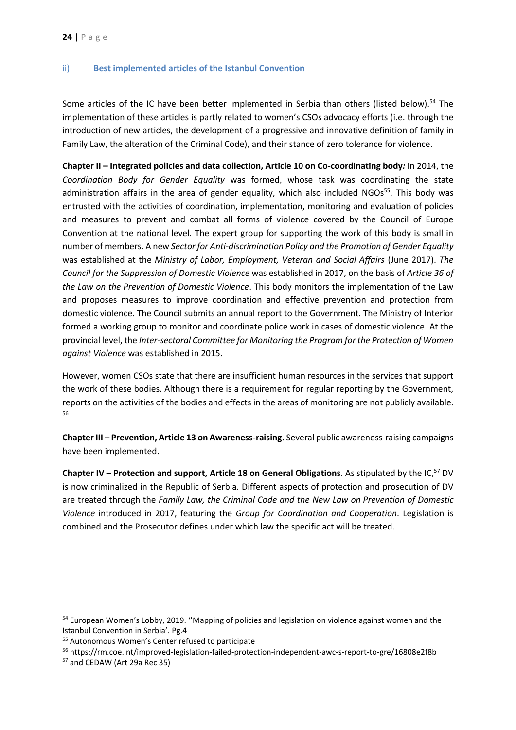#### <span id="page-24-0"></span>ii) **Best implemented articles of the Istanbul Convention**

Some articles of the IC have been better implemented in Serbia than others (listed below).<sup>54</sup> The implementation of these articles is partly related to women's CSOs advocacy efforts (i.e. through the introduction of new articles, the development of a progressive and innovative definition of family in Family Law, the alteration of the Criminal Code), and their stance of zero tolerance for violence.

**Chapter II – Integrated policies and data collection, Article 10 on Co‐coordinating body***:* In 2014, the *Coordination Body for Gender Equality* was formed, whose task was coordinating the state administration affairs in the area of gender equality, which also included NGOs<sup>55</sup>. This body was entrusted with the activities of coordination, implementation, monitoring and evaluation of policies and measures to prevent and combat all forms of violence covered by the Council of Europe Convention at the national level. The expert group for supporting the work of this body is small in number of members. A new *Sector for Anti-discrimination Policy and the Promotion of Gender Equality* was established at the *Ministry of Labor, Employment, Veteran and Social Affairs* (June 2017). *The Council for the Suppression of Domestic Violence* was established in 2017, on the basis of *Article 36 of the Law on the Prevention of Domestic Violence*. This body monitors the implementation of the Law and proposes measures to improve coordination and effective prevention and protection from domestic violence. The Council submits an annual report to the Government. The Ministry of Interior formed a working group to monitor and coordinate police work in cases of domestic violence. At the provincial level, the *Inter-sectoral Committee for Monitoring the Program for the Protection of Women against Violence* was established in 2015.

However, women CSOs state that there are insufficient human resources in the services that support the work of these bodies. Although there is a requirement for regular reporting by the Government, reports on the activities of the bodies and effects in the areas of monitoring are not publicly available. 56

**Chapter III – Prevention, Article 13 on Awareness-raising.** Several public awareness-raising campaigns have been implemented.

**Chapter IV – Protection and support, Article 18 on General Obligations**. As stipulated by the IC, <sup>57</sup> DV is now criminalized in the Republic of Serbia. Different aspects of protection and prosecution of DV are treated through the *Family Law, the Criminal Code and the New Law on Prevention of Domestic Violence* introduced in 2017, featuring the *Group for Coordination and Cooperation*. Legislation is combined and the Prosecutor defines under which law the specific act will be treated.

**.** 

<sup>54</sup> European Women's Lobby, 2019. ''Mapping of policies and legislation on violence against women and the Istanbul Convention in Serbia'. Pg.4

<sup>55</sup> Autonomous Women's Center refused to participate

<sup>56</sup> <https://rm.coe.int/improved-legislation-failed-protection-independent-awc-s-report-to-gre/16808e2f8b>

<sup>57</sup> and CEDAW (Art 29a Rec 35)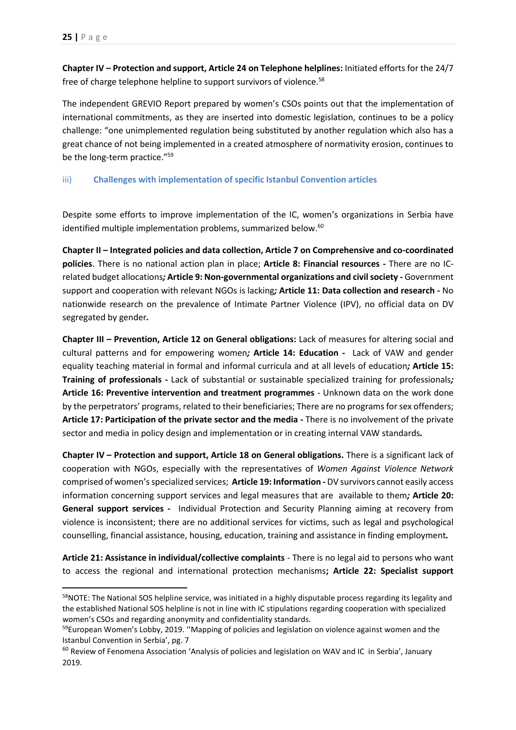**Chapter IV – Protection and support, Article 24 on Telephone helplines:** Initiated efforts for the 24/7 free of charge telephone helpline to support survivors of violence.<sup>58</sup>

The independent GREVIO Report prepared by women's CSOs points out that the implementation of international commitments, as they are inserted into domestic legislation, continues to be a policy challenge: "one unimplemented regulation being substituted by another regulation which also has a great chance of not being implemented in a created atmosphere of normativity erosion, continues to be the long-term practice."<sup>59</sup>

#### <span id="page-25-0"></span>iii) **Challenges with implementation of specific Istanbul Convention articles**

Despite some efforts to improve implementation of the IC, women's organizations in Serbia have identified multiple implementation problems, summarized below.<sup>60</sup>

**Chapter II – Integrated policies and data collection, Article 7 on Comprehensive and co‐coordinated policies**. There is no national action plan in place; **Article 8: Financial resources -** There are no ICrelated budget allocations*;* **Article 9: Non‐governmental organizations and civil society** *-* Government support and cooperation with relevant NGOs is lacking*;* **Article 11: Data collection and research -** No nationwide research on the prevalence of Intimate Partner Violence (IPV), no official data on DV segregated by gender*.*

**Chapter III – Prevention, Article 12 on General obligations:** Lack of measures for altering social and cultural patterns and for empowering women*;* **Article 14: Education** *-* Lack of VAW and gender equality teaching material in formal and informal curricula and at all levels of education*;* **Article 15: Training of professionals -** Lack of substantial or sustainable specialized training for professionals*;* **Article 16: Preventive intervention and treatment programmes** - Unknown data on the work done by the perpetrators' programs, related to their beneficiaries; There are no programs for sex offenders; **Article 17: Participation of the private sector and the media -** There is no involvement of the private sector and media in policy design and implementation or in creating internal VAW standards*.*

**Chapter IV – Protection and support, Article 18 on General obligations.** There is a significant lack of cooperation with NGOs, especially with the representatives of *Women Against Violence Network*  comprised of women's specialized services; **Article 19: Information** *-* DV survivors cannot easily access information concerning support services and legal measures that are available to them*;* **Article 20: General support services** *-* Individual Protection and Security Planning aiming at recovery from violence is inconsistent; there are no additional services for victims, such as legal and psychological counselling, financial assistance, housing, education, training and assistance in finding employment*.*

**Article 21: Assistance in individual/collective complaints** - There is no legal aid to persons who want to access the regional and international protection mechanisms**; Article 22: Specialist support** 

<sup>58</sup>NOTE: The National SOS helpline service, was initiated in a highly disputable process regarding its legality and the established National SOS helpline is not in line with IC stipulations regarding cooperation with specialized women's CSOs and regarding anonymity and confidentiality standards.

<sup>&</sup>lt;sup>59</sup>European Women's Lobby, 2019. "Mapping of policies and legislation on violence against women and the Istanbul Convention in Serbia', pg. 7

<sup>&</sup>lt;sup>60</sup> Review of Fenomena Association 'Analysis of policies and legislation on WAV and IC in Serbia', January 2019.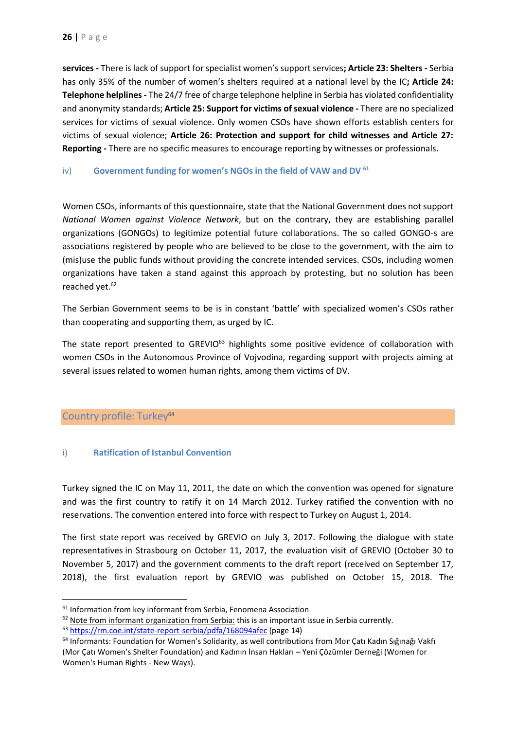**services -** There is lack of support for specialist women's support services**; Article 23: Shelters -** Serbia has only 35% of the number of women's shelters required at a national level by the IC**; Article 24: Telephone helplines -** The 24/7 free of charge telephone helpline in Serbia has violated confidentiality and anonymity standards; **Article 25: Support for victims of sexual violence -** There are no specialized services for victims of sexual violence. Only women CSOs have shown efforts establish centers for victims of sexual violence; **Article 26: Protection and support for child witnesses and Article 27: Reporting -** There are no specific measures to encourage reporting by witnesses or professionals.

#### <span id="page-26-0"></span>iv) **Government funding for women's NGOs in the field of VAW and DV <sup>61</sup>**

Women CSOs, informants of this questionnaire, state that the National Government does not support *National Women against Violence Network*, but on the contrary, they are establishing parallel organizations (GONGOs) to legitimize potential future collaborations. The so called GONGO-s are associations registered by people who are believed to be close to the government, with the aim to (mis)use the public funds without providing the concrete intended services. CSOs, including women organizations have taken a stand against this approach by protesting, but no solution has been reached yet. 62

The Serbian Government seems to be is in constant 'battle' with specialized women's CSOs rather than cooperating and supporting them, as urged by IC.

The state report presented to GREVIO<sup>63</sup> highlights some positive evidence of collaboration with women CSOs in the Autonomous Province of Vojvodina, regarding support with projects aiming at several issues related to women human rights, among them victims of DV.

# <span id="page-26-1"></span>Country profile: Turkey<sup>64</sup>

**.** 

#### <span id="page-26-2"></span>i) **Ratification of Istanbul Convention**

Turkey signed the IC on May 11, 2011, the date on which the convention was opened for signature and was the first country to ratify it on 14 March 2012. Turkey ratified the convention with no reservations. The convention entered into force with respect to Turkey on August 1, 2014.

The first state report was received by GREVIO on July 3, 2017. Following the [dialogue with state](https://www.coe.int/en/web/istanbul-convention/newsroom/-/asset_publisher/anlInZ5mw6yX/content/grevio-reviews-state-report-with-representatives-from-turkey?inheritRedirect=false&redirect=https%3A%2F%2Fwww.coe.int%2Fen%2Fweb%2Fistanbul-convention%2Fnewsroom%3Fp_p_id%3D101_INSTANCE_anlInZ5mw6yX%26p_p_lifecycle%3D0%26p_p_state%3Dnormal%26p_p_mode%3Dview%26p_p_col_id%3Dcolumn-1%26p_p_col_count%3D2)  [representatives](https://www.coe.int/en/web/istanbul-convention/newsroom/-/asset_publisher/anlInZ5mw6yX/content/grevio-reviews-state-report-with-representatives-from-turkey?inheritRedirect=false&redirect=https%3A%2F%2Fwww.coe.int%2Fen%2Fweb%2Fistanbul-convention%2Fnewsroom%3Fp_p_id%3D101_INSTANCE_anlInZ5mw6yX%26p_p_lifecycle%3D0%26p_p_state%3Dnormal%26p_p_mode%3Dview%26p_p_col_id%3Dcolumn-1%26p_p_col_count%3D2) in Strasbourg on October 11, 2017, the [evaluation visit of GREVIO \(October 30 to](https://www.coe.int/en/web/istanbul-convention/newsroom/-/asset_publisher/anlInZ5mw6yX/content/council-of-europe-s-expert-group-on-violence-against-women-visits-turkey?inheritRedirect=false&redirect=https%3A%2F%2Fwww.coe.int%2Fen%2Fweb%2Fistanbul-convention%2Fnewsroom%3Fp_p_id%3D101_INSTANCE_anlInZ5mw6yX%26p_p_lifecycle%3D0%26p_p_state%3Dnormal%26p_p_mode%3Dview%26p_p_col_id%3Dcolumn-1%26p_p_col_count%3D2)  [November 5, 2017\)](https://www.coe.int/en/web/istanbul-convention/newsroom/-/asset_publisher/anlInZ5mw6yX/content/council-of-europe-s-expert-group-on-violence-against-women-visits-turkey?inheritRedirect=false&redirect=https%3A%2F%2Fwww.coe.int%2Fen%2Fweb%2Fistanbul-convention%2Fnewsroom%3Fp_p_id%3D101_INSTANCE_anlInZ5mw6yX%26p_p_lifecycle%3D0%26p_p_state%3Dnormal%26p_p_mode%3Dview%26p_p_col_id%3Dcolumn-1%26p_p_col_count%3D2) and the [government comments to the draft report](https://rm.coe.int/turkey-s-final-comments-to-grevio-report/16808e5298) (received on September 17, 2018), the first [evaluation report by GREVIO](https://rm.coe.int/eng-grevio-report-turquie/16808e5283) was published on October 15, 2018. The

<sup>&</sup>lt;sup>61</sup> Information from key informant from Serbia, Fenomena Association

 $62$  Note from informant organization from Serbia: this is an important issue in Serbia currently.

<sup>63</sup> <https://rm.coe.int/state-report-serbia/pdfa/168094afec> (page 14)

<sup>&</sup>lt;sup>64</sup> Informants: Foundation for Women's Solidarity, as well contributions from Mor Çatı Kadın Sığınağı Vakfı (Mor Çatı Women's Shelter Foundation) and Kadının İnsan Hakları – Yeni Çözümler Derneği (Women for Women's Human Rights - New Ways).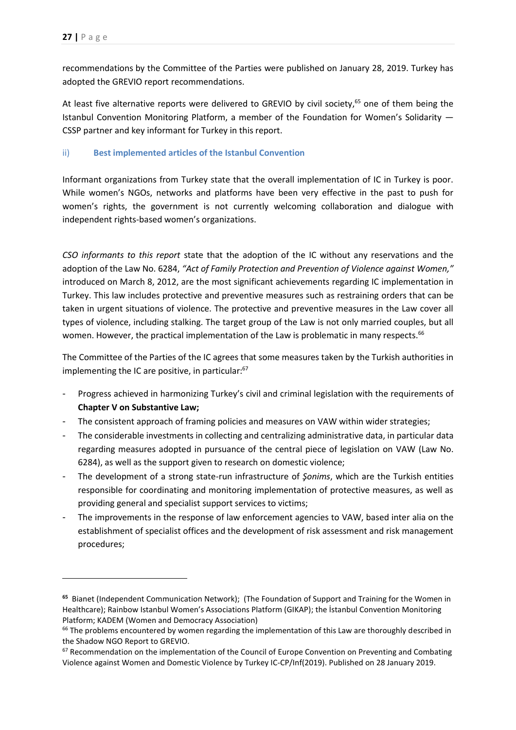1

recommendations [by the Committee of the Parties](https://rm.coe.int/recommendations-of-the-committee-of-the-parties-for-turkey/pdfa/1680920060) were published on January 28, 2019. Turkey has adopted the GREVIO report recommendations.

At least five alternative reports were delivered to GREVIO by civil society,<sup>65</sup> one of them being the Istanbul Convention Monitoring Platform, a member of the Foundation for Women's Solidarity — CSSP partner and key informant for Turkey in this report.

#### <span id="page-27-0"></span>ii) **Best implemented articles of the Istanbul Convention**

Informant organizations from Turkey state that the overall implementation of IC in Turkey is poor. While women's NGOs, networks and platforms have been very effective in the past to push for women's rights, the government is not currently welcoming collaboration and dialogue with independent rights-based women's organizations.

*CSO informants to this report* state that the adoption of the IC without any reservations and the adoption of the Law No. 6284, *"Act of Family Protection and Prevention of Violence against Women,"*  introduced on March 8, 2012, are the most significant achievements regarding IC implementation in Turkey. This law includes protective and preventive measures such as restraining orders that can be taken in urgent situations of violence. The protective and preventive measures in the Law cover all types of violence, including stalking. The target group of the Law is not only married couples, but all women. However, the practical implementation of the Law is problematic in many respects.<sup>66</sup>

The Committee of the Parties of the IC agrees that some measures taken by the Turkish authorities in implementing the IC are positive, in particular: 67

- Progress achieved in harmonizing Turkey's civil and criminal legislation with the requirements of **Chapter V on Substantive Law;**
- The consistent approach of framing policies and measures on VAW within wider strategies;
- The considerable investments in collecting and centralizing administrative data, in particular data regarding measures adopted in pursuance of the central piece of legislation on VAW (Law No. 6284), as well as the support given to research on domestic violence;
- The development of a strong state-run infrastructure of *Şonims*, which are the Turkish entities responsible for coordinating and monitoring implementation of protective measures, as well as providing general and specialist support services to victims;
- The improvements in the response of law enforcement agencies to VAW, based inter alia on the establishment of specialist offices and the development of risk assessment and risk management procedures;

**<sup>65</sup>** [Bianet](http://rm.coe.int/bianet-shadow-report-grevio/168072fc27) (Independent Communication Network); [\(](http://rm.coe.int/turkey-shadow-report-1/16807441a2)The Foundation of Support and Training for the Women in Healthcare); [Rainbow Istanbul Women's Associations Platform \(GIKAP\);](http://rm.coe.int/turkey-shadow-report-1/16807441a2) the İstanbul Convention Monitoring Platform; KADEM (Women and Democracy Association)

 $66$  The problems encountered by women regarding the implementation of this Law are thoroughly described in the Shadow NGO Report to GREVIO.

 $67$  Recommendation on the implementation of the Council of Europe Convention on Preventing and Combating Violence against Women and Domestic Violence by Turkey IC-CP/Inf(2019). Published on 28 January 2019.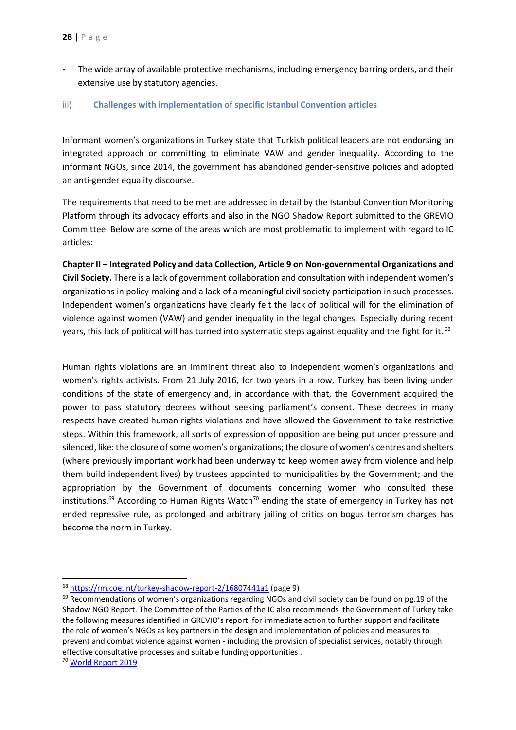The wide array of available protective mechanisms, including emergency barring orders, and their extensive use by statutory agencies.

#### <span id="page-28-0"></span>iii) **Challenges with implementation of specific Istanbul Convention articles**

Informant women's organizations in Turkey state that Turkish political leaders are not endorsing an integrated approach or committing to eliminate VAW and gender inequality. According to the informant NGOs, since 2014, the government has abandoned gender-sensitive policies and adopted an anti-gender equality discourse.

The requirements that need to be met are addressed in detail by the Istanbul Convention Monitoring Platform through its advocacy efforts and also in the NGO Shadow Report submitted to the GREVIO Committee. Below are some of the areas which are most problematic to implement with regard to IC articles:

**Chapter II – Integrated Policy and data Collection, Article 9 on Non-governmental Organizations and Civil Society.** There is a lack of government collaboration and consultation with independent women's organizations in policy-making and a lack of a meaningful civil society participation in such processes. Independent women's organizations have clearly felt the lack of political will for the elimination of violence against women (VAW) and gender inequality in the legal changes. Especially during recent years, this lack of political will has turned into systematic steps against equality and the fight for it. <sup>68</sup>

Human rights violations are an imminent threat also to independent women's organizations and women's rights activists. From 21 July 2016, for two years in a row, Turkey has been living under conditions of the state of emergency and, in accordance with that, the Government acquired the power to pass statutory decrees without seeking parliament's consent. These decrees in many respects have created human rights violations and have allowed the Government to take restrictive steps. Within this framework, all sorts of expression of opposition are being put under pressure and silenced, like: the closure of some women's organizations; the closure of women's centres and shelters (where previously important work had been underway to keep women away from violence and help them build independent lives) by trustees appointed to municipalities by the Government; and the appropriation by the Government of documents concerning women who consulted these institutions.<sup>69</sup> According to Human Rights Watch<sup>70</sup> ending the state of emergency in [Turkey](https://www.hrw.org/world-report/2019/country-chapters/turkey) has not ended repressive rule, as prolonged and arbitrary jailing of critics on bogus terrorism charges has become the norm in Turkey.

<sup>70</sup> [World Report 2019](https://www.hrw.org/world-report/2019)

<sup>68</sup> <https://rm.coe.int/turkey-shadow-report-2/16807441a1> (page 9)

<sup>&</sup>lt;sup>69</sup> Recommendations of women's organizations regarding NGOs and civil society can be found on pg.19 of the Shadow NGO Report. The Committee of the Parties of the IC also recommends the Government of Turkey take the following measures identified in GREVIO's report for immediate action to further support and facilitate the role of women's NGOs as key partners in the design and implementation of policies and measures to prevent and combat violence against women - including the provision of specialist services, notably through effective consultative processes and suitable funding opportunities .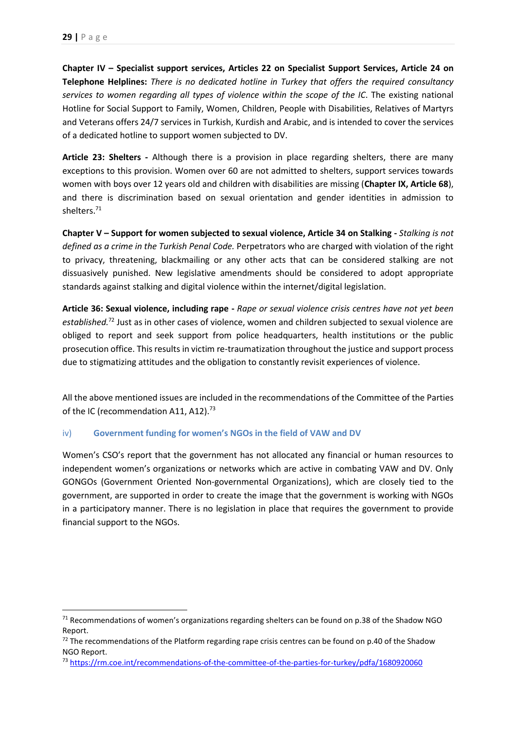**Chapter IV – Specialist support services, Articles 22 on Specialist Support Services, Article 24 on Telephone Helplines:** *There is no dedicated hotline in Turkey that offers the required consultancy services to women regarding all types of violence within the scope of the IC*. The existing national Hotline for Social Support to Family, Women, Children, People with Disabilities, Relatives of Martyrs and Veterans offers 24/7 services in Turkish, Kurdish and Arabic, and is intended to cover the services of a dedicated hotline to support women subjected to DV.

**Article 23: Shelters -** Although there is a provision in place regarding shelters, there are many exceptions to this provision. Women over 60 are not admitted to shelters, support services towards women with boys over 12 years old and children with disabilities are missing (**Chapter IX, Article 68**), and there is discrimination based on sexual orientation and gender identities in admission to shelters.<sup>71</sup>

**Chapter V – Support for women subjected to sexual violence, Article 34 on Stalking -** *Stalking is not defined as a crime in the Turkish Penal Code.* Perpetrators who are charged with violation of the right to privacy, threatening, blackmailing or any other acts that can be considered stalking are not dissuasively punished. New legislative amendments should be considered to adopt appropriate standards against stalking and digital violence within the internet/digital legislation.

**Article 36: Sexual violence, including rape -** *Rape or sexual violence crisis centres have not yet been established.*<sup>72</sup> Just as in other cases of violence, women and children subjected to sexual violence are obliged to report and seek support from police headquarters, health institutions or the public prosecution office. This results in victim re-traumatization throughout the justice and support process due to stigmatizing attitudes and the obligation to constantly revisit experiences of violence.

All the above mentioned issues are included in the recommendations of the Committee of the Parties of the IC (recommendation A11, A12).<sup>73</sup>

#### <span id="page-29-0"></span>iv) **Government funding for women's NGOs in the field of VAW and DV**

Women's CSO's report that the government has not allocated any financial or human resources to independent women's organizations or networks which are active in combating VAW and DV. Only GONGOs (Government Oriented Non-governmental Organizations), which are closely tied to the government, are supported in order to create the image that the government is working with NGOs in a participatory manner. There is no legislation in place that requires the government to provide financial support to the NGOs.

 $71$  Recommendations of women's organizations regarding shelters can be found on p.38 of the Shadow NGO Report.

<sup>72</sup> The recommendations of the Platform regarding rape crisis centres can be found on p.40 of the Shadow NGO Report.

<sup>73</sup> <https://rm.coe.int/recommendations-of-the-committee-of-the-parties-for-turkey/pdfa/1680920060>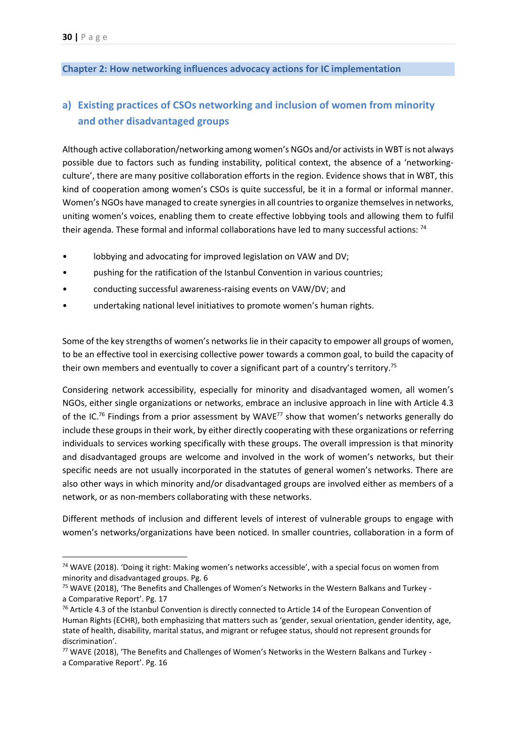## <span id="page-30-0"></span>**Chapter 2: How networking influences advocacy actions for IC implementation**

# <span id="page-30-1"></span>**a) Existing practices of CSOs networking and inclusion of women from minority and other disadvantaged groups**

Although active collaboration/networking among women's NGOs and/or activists in WBT is not always possible due to factors such as funding instability, political context, the absence of a 'networkingculture', there are many positive collaboration efforts in the region. Evidence shows that in WBT, this kind of cooperation among women's CSOs is quite successful, be it in a formal or informal manner. Women's NGOs have managed to create synergies in all countries to organize themselves in networks, uniting women's voices, enabling them to create effective lobbying tools and allowing them to fulfil their agenda. These formal and informal collaborations have led to many successful actions: <sup>74</sup>

- lobbying and advocating for improved legislation on VAW and DV;
- pushing for the ratification of the Istanbul Convention in various countries;
- conducting successful awareness-raising events on VAW/DV; and
- undertaking national level initiatives to promote women's human rights.

Some of the key strengths of women's networks lie in their capacity to empower all groups of women, to be an effective tool in exercising collective power towards a common goal, to build the capacity of their own members and eventually to cover a significant part of a country's territory.<sup>75</sup>

Considering network accessibility, especially for minority and disadvantaged women, all women's NGOs, either single organizations or networks, embrace an inclusive approach in line with Article 4.3 of the IC.<sup>76</sup> Findings from a prior assessment by WAVE<sup>77</sup> show that women's networks generally do include these groups in their work, by either directly cooperating with these organizations or referring individuals to services working specifically with these groups. The overall impression is that minority and disadvantaged groups are welcome and involved in the work of women's networks, but their specific needs are not usually incorporated in the statutes of general women's networks. There are also other ways in which minority and/or disadvantaged groups are involved either as members of a network, or as non-members collaborating with these networks.

Different methods of inclusion and different levels of interest of vulnerable groups to engage with women's networks/organizations have been noticed. In smaller countries, collaboration in a form of

<sup>74</sup> WAVE (2018). 'Doing it right: Making women's networks accessible', with a special focus on women from minority and disadvantaged groups. Pg. 6

<sup>75</sup> WAVE (2018), 'The Benefits and Challenges of Women's Networks in the Western Balkans and Turkey a Comparative Report'. Pg. 17

<sup>&</sup>lt;sup>76</sup> Article 4.3 of the Istanbul Convention is directly connected to Article 14 of the European Convention of Human Rights (ECHR), both emphasizing that matters such as 'gender, sexual orientation, gender identity, age, state of health, disability, marital status, and migrant or refugee status, should not represent grounds for discrimination'.

<sup>77</sup> WAVE (2018), 'The Benefits and Challenges of Women's Networks in the Western Balkans and Turkey a Comparative Report'. Pg. 16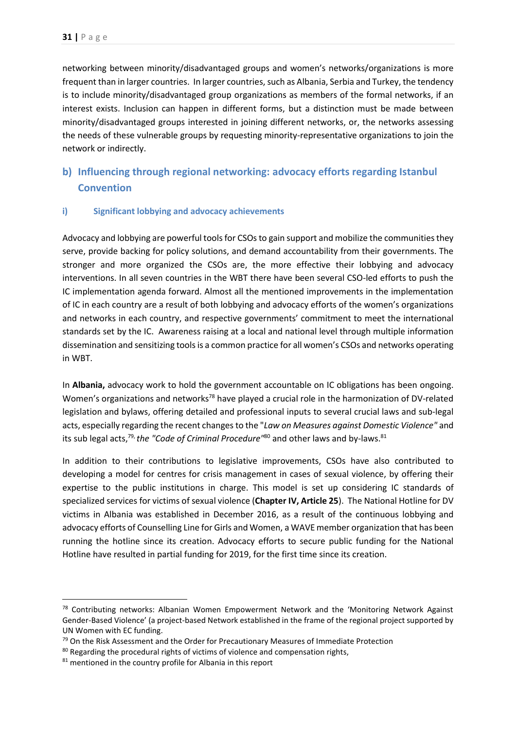networking between minority/disadvantaged groups and women's networks/organizations is more frequent than in larger countries. In larger countries, such as Albania, Serbia and Turkey, the tendency is to include minority/disadvantaged group organizations as members of the formal networks, if an interest exists. Inclusion can happen in different forms, but a distinction must be made between minority/disadvantaged groups interested in joining different networks, or, the networks assessing the needs of these vulnerable groups by requesting minority-representative organizations to join the network or indirectly.

# <span id="page-31-0"></span>**b) Influencing through regional networking: advocacy efforts regarding Istanbul Convention**

#### <span id="page-31-1"></span>**i) Significant lobbying and advocacy achievements**

Advocacy and lobbying are powerful tools for CSOsto gain support and mobilize the communities they serve, provide backing for policy solutions, and demand accountability from their governments. The stronger and more organized the CSOs are, the more effective their lobbying and advocacy interventions. In all seven countries in the WBT there have been several CSO-led efforts to push the IC implementation agenda forward. Almost all the mentioned improvements in the implementation of IC in each country are a result of both lobbying and advocacy efforts of the women's organizations and networks in each country, and respective governments' commitment to meet the international standards set by the IC. Awareness raising at a local and national level through multiple information dissemination and sensitizing tools is a common practice for all women's CSOs and networks operating in WBT.

In **Albania,** advocacy work to hold the government accountable on IC obligations has been ongoing. Women's organizations and networks<sup>78</sup> have played a crucial role in the harmonization of DV-related legislation and bylaws, offering detailed and professional inputs to several crucial laws and sub-legal acts, especially regarding the recent changes to the "*Law on Measures against Domestic Violence"* and its sub legal acts,<sup>79,</sup> the "Code of Criminal Procedure"<sup>80</sup> and other laws and by-laws.<sup>81</sup>

In addition to their contributions to legislative improvements, CSOs have also contributed to developing a model for centres for crisis management in cases of sexual violence, by offering their expertise to the public institutions in charge. This model is set up considering IC standards of specialized services for victims of sexual violence (**Chapter IV, Article 25**). The National Hotline for DV victims in Albania was established in December 2016, as a result of the continuous lobbying and advocacy efforts of Counselling Line for Girls and Women, a WAVE member organization that has been running the hotline since its creation. Advocacy efforts to secure public funding for the National Hotline have resulted in partial funding for 2019, for the first time since its creation.

**.** 

 $78$  Contributing networks: Albanian Women Empowerment Network and the 'Monitoring Network Against Gender-Based Violence' (a project-based Network established in the frame of the regional project supported by UN Women with EC funding.

 $79$  On the Risk Assessment and the Order for Precautionary Measures of Immediate Protection

<sup>80</sup> Regarding the procedural rights of victims of violence and compensation rights,

<sup>&</sup>lt;sup>81</sup> mentioned in the country profile for Albania in this report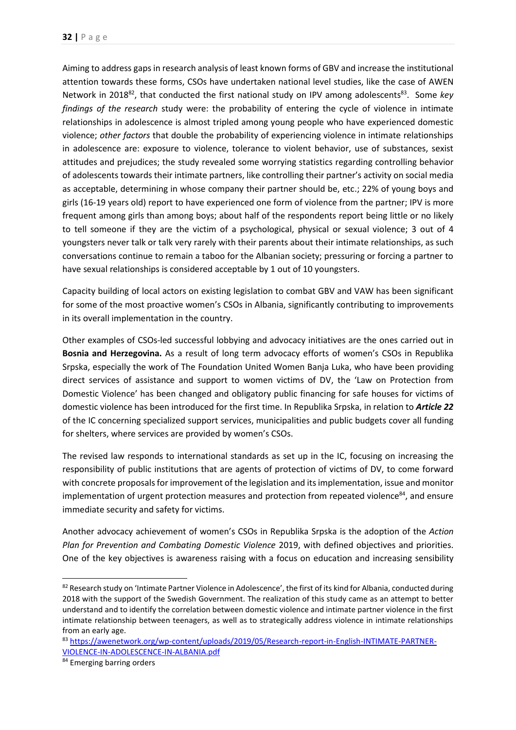Aiming to address gaps in research analysis of least known forms of GBV and increase the institutional attention towards these forms, CSOs have undertaken national level studies, like the case of AWEN Network in 2018<sup>82</sup>, that conducted the first national study on IPV among adolescents<sup>83</sup>. Some key *findings of the research* study were: the probability of entering the cycle of violence in intimate relationships in adolescence is almost tripled among young people who have experienced domestic violence; *other factors* that double the probability of experiencing violence in intimate relationships in adolescence are: exposure to violence, tolerance to violent behavior, use of substances, sexist attitudes and prejudices; the study revealed some worrying statistics regarding controlling behavior of adolescents towards their intimate partners, like controlling their partner's activity on social media as acceptable, determining in whose company their partner should be, etc.; 22% of young boys and girls (16-19 years old) report to have experienced one form of violence from the partner; IPV is more frequent among girls than among boys; about half of the respondents report being little or no likely to tell someone if they are the victim of a psychological, physical or sexual violence; 3 out of 4 youngsters never talk or talk very rarely with their parents about their intimate relationships, as such conversations continue to remain a taboo for the Albanian society; pressuring or forcing a partner to have sexual relationships is considered acceptable by 1 out of 10 youngsters.

Capacity building of local actors on existing legislation to combat GBV and VAW has been significant for some of the most proactive women's CSOs in Albania, significantly contributing to improvements in its overall implementation in the country.

Other examples of CSOs-led successful lobbying and advocacy initiatives are the ones carried out in **Bosnia and Herzegovina.** As a result of long term advocacy efforts of women's CSOs in Republika Srpska, especially the work of The Foundation United Women Banja Luka, who have been providing direct services of assistance and support to women victims of DV, the 'Law on Protection from Domestic Violence' has been changed and obligatory public financing for safe houses for victims of domestic violence has been introduced for the first time. In Republika Srpska, in relation to *Article 22* of the IC concerning specialized support services, municipalities and public budgets cover all funding for shelters, where services are provided by women's CSOs.

The revised law responds to international standards as set up in the IC, focusing on increasing the responsibility of public institutions that are agents of protection of victims of DV, to come forward with concrete proposals for improvement of the legislation and itsimplementation, issue and monitor implementation of urgent protection measures and protection from repeated violence<sup>84</sup>, and ensure immediate security and safety for victims.

Another advocacy achievement of women's CSOs in Republika Srpska is the adoption of the *Action Plan for Prevention and Combating Domestic Violence* 2019, with defined objectives and priorities. One of the key objectives is awareness raising with a focus on education and increasing sensibility

<sup>82</sup> Research study on 'Intimate Partner Violence in Adolescence', the first of its kind for Albania, conducted during 2018 with the support of the Swedish Government. The realization of this study came as an attempt to better understand and to identify the correlation between domestic violence and intimate partner violence in the first intimate relationship between teenagers, as well as to strategically address violence in intimate relationships from an early age.

<sup>83</sup> [https://awenetwork.org/wp-content/uploads/2019/05/Research-report-in-English-INTIMATE-PARTNER-](https://awenetwork.org/wp-content/uploads/2019/05/Research-report-in-English-INTIMATE-PARTNER-VIOLENCE-IN-ADOLESCENCE-IN-ALBANIA.pdf)[VIOLENCE-IN-ADOLESCENCE-IN-ALBANIA.pdf](https://awenetwork.org/wp-content/uploads/2019/05/Research-report-in-English-INTIMATE-PARTNER-VIOLENCE-IN-ADOLESCENCE-IN-ALBANIA.pdf)

<sup>84</sup> Emerging barring orders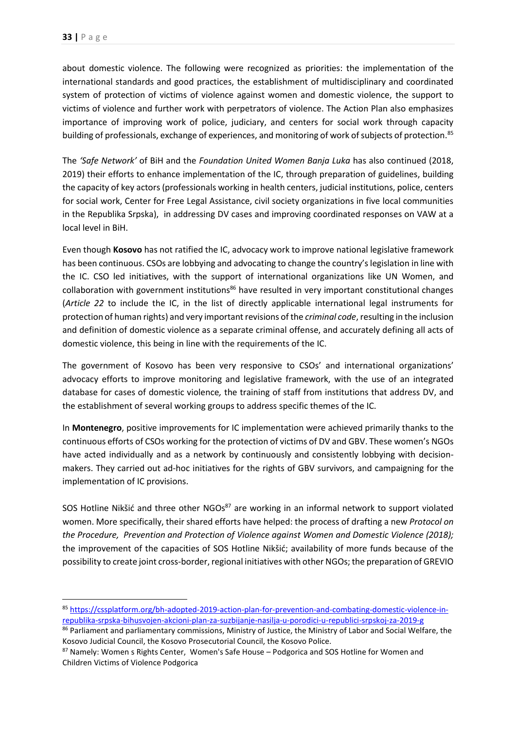about domestic violence. The following were recognized as priorities: the implementation of the international standards and good practices, the establishment of multidisciplinary and coordinated system of protection of victims of violence against women and domestic violence, the support to victims of violence and further work with perpetrators of violence. The Action Plan also emphasizes importance of improving work of police, judiciary, and centers for social work through capacity building of professionals, exchange of experiences, and monitoring of work of subjects of protection.<sup>85</sup>

The *'Safe Network'* of BiH and the *Foundation United Women Banja Luka* has also continued (2018, 2019) their efforts to enhance implementation of the IC, through preparation of guidelines, building the capacity of key actors (professionals working in health centers, judicial institutions, police, centers for social work, Center for Free Legal Assistance, civil society organizations in five local communities in the Republika Srpska), in addressing DV cases and improving coordinated responses on VAW at a local level in BiH.

Even though **Kosovo** has not ratified the IC, advocacy work to improve national legislative framework has been continuous. CSOs are lobbying and advocating to change the country's legislation in line with the IC. CSO led initiatives, with the support of international organizations like UN Women, and collaboration with government institutions<sup>86</sup> have resulted in very important constitutional changes (*Article 22* to include the IC, in the list of directly applicable international legal instruments for protection of human rights) and very important revisions of the *criminal code*, resulting in the inclusion and definition of domestic violence as a separate criminal offense, and accurately defining all acts of domestic violence, this being in line with the requirements of the [IC.](https://www.coe.int/en/web/istanbul-convention/home)

The government of Kosovo has been very responsive to CSOs' and international organizations' advocacy efforts to improve monitoring and legislative framework, with the use of an integrated database for cases of domestic violence*,* the training of staff from institutions that address DV, and the establishment of several working groups to address specific themes of the IC.

In **Montenegro**, positive improvements for IC implementation were achieved primarily thanks to the continuous efforts of CSOs working for the protection of victims of DV and GBV. These women's NGOs have acted individually and as a network by continuously and consistently lobbying with decisionmakers. They carried out ad-hoc initiatives for the rights of GBV survivors, and campaigning for the implementation of IC provisions.

SOS Hotline Nikšić and three other NGOs<sup>87</sup> are working in an informal network to support violated women. More specifically, their shared efforts have helped: the process of drafting a new *Protocol on the Procedure, Prevention and Protection of Violence against Women and Domestic Violence (2018);* the improvement of the capacities of SOS Hotline Nikšić; availability of more funds because of the possibility to create joint cross-border, regional initiatives with other NGOs; the preparation of GREVIO

<sup>85</sup> [https://cssplatform.org/bh-adopted-2019-action-plan-for-prevention-and-combating-domestic-violence-in](https://cssplatform.org/bh-adopted-2019-action-plan-for-prevention-and-combating-domestic-violence-in-republika-srpska-bihusvojen-akcioni-plan-za-suzbijanje-nasilja-u-porodici-u-republici-srpskoj-za-2019-g)[republika-srpska-bihusvojen-akcioni-plan-za-suzbijanje-nasilja-u-porodici-u-republici-srpskoj-za-2019-g](https://cssplatform.org/bh-adopted-2019-action-plan-for-prevention-and-combating-domestic-violence-in-republika-srpska-bihusvojen-akcioni-plan-za-suzbijanje-nasilja-u-porodici-u-republici-srpskoj-za-2019-g)

<sup>86</sup> Parliament and parliamentary commissions, Ministry of Justice, the Ministry of Labor and Social Welfare, the Kosovo Judicial Council, the Kosovo Prosecutorial Council, the Kosovo Police.

<sup>87</sup> Namely: Women s Rights Center, Women's Safe House – Podgorica and SOS Hotline for Women and Children Victims of Violence Podgorica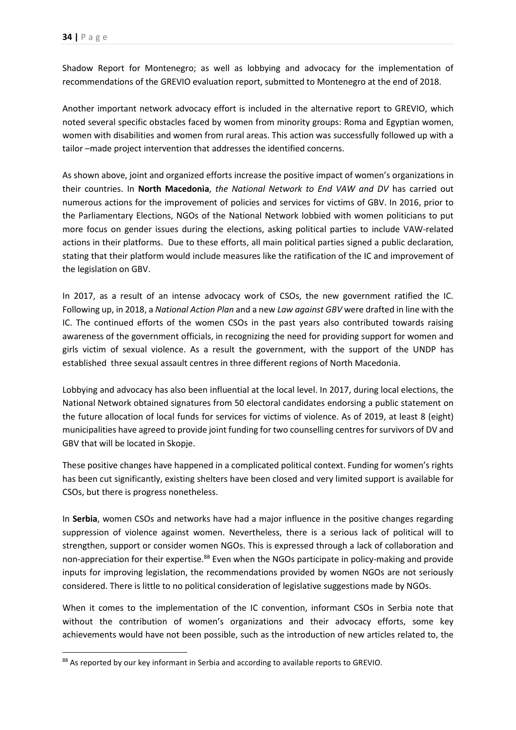Shadow Report for Montenegro; as well as lobbying and advocacy for the implementation of recommendations of the GREVIO evaluation report, submitted to Montenegro at the end of 2018.

Another important network advocacy effort is included in the alternative report to GREVIO, which noted several specific obstacles faced by women from minority groups: Roma and Egyptian women, women with disabilities and women from rural areas. This action was successfully followed up with a tailor –made project intervention that addresses the identified concerns.

As shown above, joint and organized efforts increase the positive impact of women's organizations in their countries. In **North Macedonia**, *the National Network to End VAW and DV* has carried out numerous actions for the improvement of policies and services for victims of GBV. In 2016, prior to the Parliamentary Elections, NGOs of the National Network lobbied with women politicians to put more focus on gender issues during the elections, asking political parties to include VAW-related actions in their platforms. Due to these efforts, all main political parties signed a public declaration, stating that their platform would include measures like the ratification of the IC and improvement of the legislation on GBV.

In 2017, as a result of an intense advocacy work of CSOs, the new government ratified the IC. Following up, in 2018, a *National Action Plan* and a new *Law against GBV* were drafted in line with the IC. The continued efforts of the women CSOs in the past years also contributed towards raising awareness of the government officials, in recognizing the need for providing support for women and girls victim of sexual violence. As a result the government, with the support of the UNDP has established three sexual assault centres in three different regions of North Macedonia.

Lobbying and advocacy has also been influential at the local level. In 2017, during local elections, the National Network obtained signatures from 50 electoral candidates endorsing a public statement on the future allocation of local funds for services for victims of violence. As of 2019, at least 8 (eight) municipalities have agreed to provide joint funding for two counselling centres for survivors of DV and GBV that will be located in Skopje.

These positive changes have happened in a complicated political context. Funding for women's rights has been cut significantly, existing shelters have been closed and very limited support is available for CSOs, but there is progress nonetheless.

In **Serbia**, women CSOs and networks have had a major influence in the positive changes regarding suppression of violence against women. Nevertheless, there is a serious lack of political will to strengthen, support or consider women NGOs. This is expressed through a lack of collaboration and non-appreciation for their expertise.<sup>88</sup> Even when the NGOs participate in policy-making and provide inputs for improving legislation, the recommendations provided by women NGOs are not seriously considered. There is little to no political consideration of legislative suggestions made by NGOs.

When it comes to the implementation of the IC convention, informant CSOs in Serbia note that without the contribution of women's organizations and their advocacy efforts, some key achievements would have not been possible, such as the introduction of new articles related to, the

<sup>88</sup> As reported by our key informant in Serbia and according to available reports to GREVIO.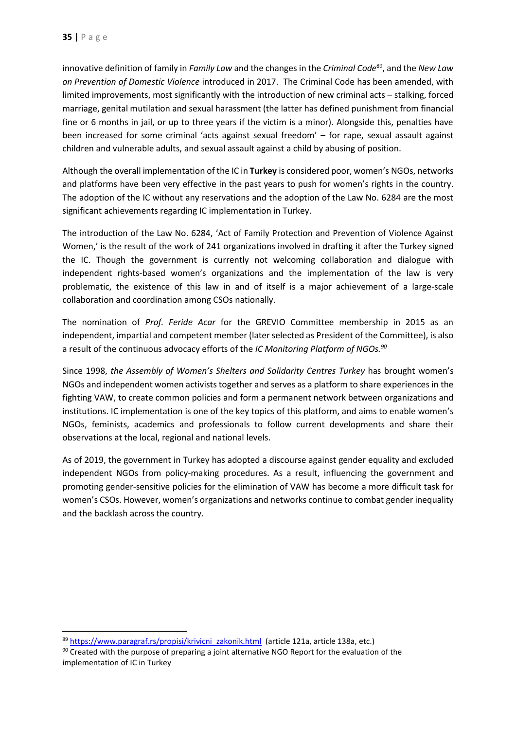innovative definition of family in *Family Law* and the changes in the *Criminal Code*<sup>89</sup>, and the *New Law on Prevention of Domestic Violence* introduced in 2017. The Criminal Code has been amended, with limited improvements, most significantly with the introduction of new criminal acts – stalking, forced marriage, genital mutilation and sexual harassment (the latter has defined punishment from financial fine or 6 months in jail, or up to three years if the victim is a minor). Alongside this, penalties have been increased for some criminal 'acts against sexual freedom' – for rape, sexual assault against children and vulnerable adults, and sexual assault against a child by abusing of position.

Although the overall implementation of the IC in **Turkey** is considered poor, women's NGOs, networks and platforms have been very effective in the past years to push for women's rights in the country. The adoption of the IC without any reservations and the adoption of the Law No. 6284 are the most significant achievements regarding IC implementation in Turkey.

The introduction of the Law No. 6284, 'Act of Family Protection and Prevention of Violence Against Women,' is the result of the work of 241 organizations involved in drafting it after the Turkey signed the IC. Though the government is currently not welcoming collaboration and dialogue with independent rights-based women's organizations and the implementation of the law is very problematic, the existence of this law in and of itself is a major achievement of a large-scale collaboration and coordination among CSOs nationally.

The nomination of *Prof. Feride Acar* for the GREVIO Committee membership in 2015 as an independent, impartial and competent member (later selected as President of the Committee), is also a result of the continuous advocacy efforts of the *IC Monitoring Platform of NGOs. 90*

Since 1998, *the Assembly of Women's Shelters and Solidarity Centres Turkey* has brought women's NGOs and independent women activists together and serves as a platform to share experiences in the fighting VAW, to create common policies and form a permanent network between organizations and institutions. IC implementation is one of the key topics of this platform, and aims to enable women's NGOs, feminists, academics and professionals to follow current developments and share their observations at the local, regional and national levels.

As of 2019, the government in Turkey has adopted a discourse against gender equality and excluded independent NGOs from policy-making procedures. As a result, influencing the government and promoting gender-sensitive policies for the elimination of VAW has become a more difficult task for women's CSOs. However, women's organizations and networks continue to combat gender inequality and the backlash across the country.

<sup>89</sup> [https://www.paragraf.rs/propisi/krivicni\\_zakonik.html](https://www.paragraf.rs/propisi/krivicni_zakonik.html) (article 121a, article 138a, etc.)

<sup>90</sup> Created with the purpose of preparing a joint alternative NGO Report for the evaluation of the implementation of IC in Turkey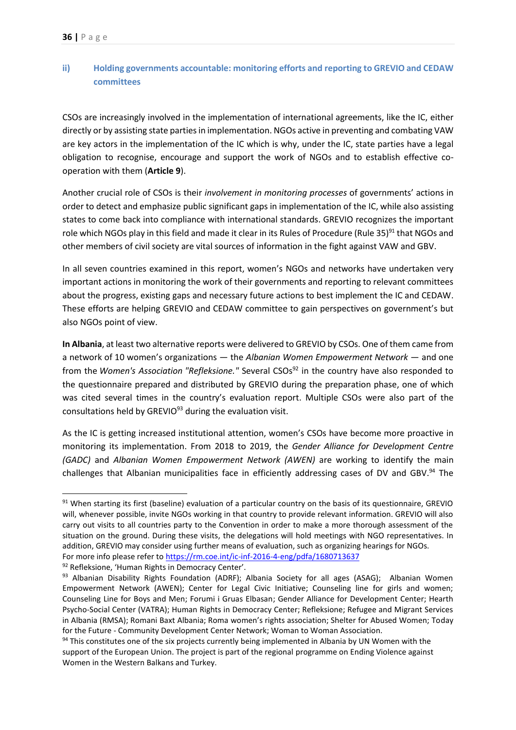# <span id="page-36-0"></span>**ii) Holding governments accountable: monitoring efforts and reporting to GREVIO and CEDAW committees**

CSOs are increasingly involved in the implementation of international agreements, like the IC, either directly or by assisting state parties in implementation. NGOs active in preventing and combating VAW are key actors in the implementation of the IC which is why, under the IC, state parties have a legal obligation to recognise, encourage and support the work of NGOs and to establish effective cooperation with them (**Article 9**).

Another crucial role of CSOs is their *involvement in monitoring processes* of governments' actions in order to detect and emphasize public significant gaps in implementation of the IC, while also assisting states to come back into compliance with international standards. GREVIO recognizes the important role which NGOs play in this field and made it clear in its Rules of Procedure (Rule 35)<sup>91</sup> that NGOs and other members of civil society are vital sources of information in the fight against VAW and GBV.

In all seven countries examined in this report, women's NGOs and networks have undertaken very important actions in monitoring the work of their governments and reporting to relevant committees about the progress, existing gaps and necessary future actions to best implement the IC and CEDAW. These efforts are helping GREVIO and CEDAW committee to gain perspectives on government's but also NGOs point of view.

**In Albania**, at least two alternative reports were delivered to GREVIO by CSOs. One of them came from a network of 10 women's organizations — the *Albanian Women Empowerment Network* — and one from the *[Women's Association](http://rm.coe.int/doc/090000168070a745) "Refleksione."* Several CSOs<sup>92</sup> in the country have also responded to the questionnaire prepared and distributed by GREVIO during the preparation phase, one of which was cited several times in the country's evaluation report. Multiple CSOs were also part of the consultations held by GREVIO<sup>93</sup> during the evaluation visit.

As the IC is getting increased institutional attention, women's CSOs have become more proactive in monitoring its implementation. From 2018 to 2019, the *Gender Alliance for Development Centre (GADC)* and *Albanian Women Empowerment Network (AWEN)* are working to identify the main challenges that Albanian municipalities face in efficiently addressing cases of DV and GBV.<sup>94</sup> The

 $\overline{a}$ 

 $91$  When starting its first (baseline) evaluation of a particular country on the basis of its questionnaire, GREVIO will, whenever possible, invite NGOs working in that country to provide relevant information. GREVIO will also carry out visits to all countries party to the Convention in order to make a more thorough assessment of the situation on the ground. During these visits, the delegations will hold meetings with NGO representatives. In addition, GREVIO may consider using further means of evaluation, such as organizing hearings for NGOs. For more info please refer to<https://rm.coe.int/ic-inf-2016-4-eng/pdfa/1680713637>

<sup>92</sup> Refleksione, 'Human Rights in Democracy Center'.

<sup>93</sup> Albanian Disability Rights Foundation (ADRF); Albania Society for all ages (ASAG); Albanian Women Empowerment Network (AWEN); Center for Legal Civic Initiative; Counseling line for girls and women; Counseling Line for Boys and Men; Forumi i Gruas Elbasan; Gender Alliance for Development Center; Hearth Psycho-Social Center (VATRA); Human Rights in Democracy Center; Refleksione; Refugee and Migrant Services in Albania (RMSA); Romani Baxt Albania; Roma women's rights association; Shelter for Abused Women; Today for the Future - Community Development Center Network; Woman to Woman Association.

<sup>94</sup> This constitutes one of the six projects currently being implemented in Albania by UN Women with the support of the European Union. The project is part of the regional programme on Ending Violence against Women in the Western Balkans and Turkey.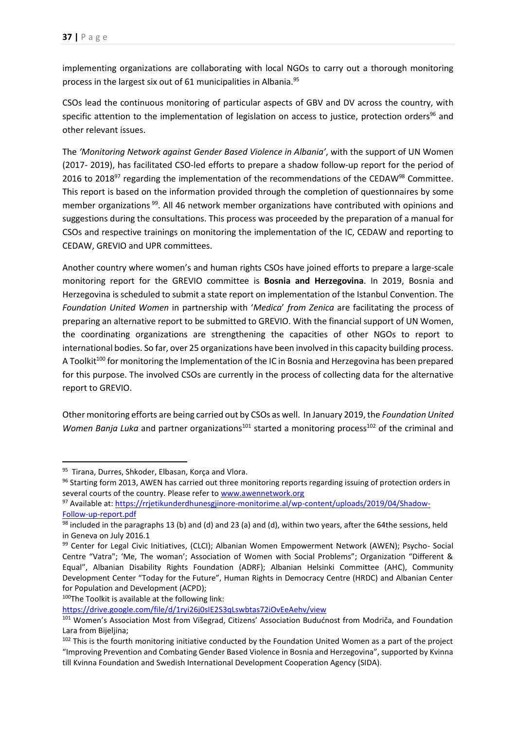implementing organizations are collaborating with local NGOs to carry out a thorough monitoring process in the largest six out of 61 municipalities in Albania. 95

CSOs lead the continuous monitoring of particular aspects of GBV and DV across the country, with specific attention to the implementation of legislation on access to justice, protection orders<sup>96</sup> and other relevant issues.

The *'Monitoring Network against Gender Based Violence in Albania'*, with the support of UN Women (2017- 2019), has facilitated CSO-led efforts to prepare a shadow follow-up report for the period of 2016 to 2018<sup>97</sup> regarding the implementation of the recommendations of the CEDAW<sup>98</sup> Committee. This report is based on the information provided through the completion of questionnaires by some member organizations<sup>99</sup>. All 46 network member organizations have contributed with opinions and suggestions during the consultations. This process was proceeded by the preparation of a manual for CSOs and respective trainings on monitoring the implementation of the IC, CEDAW and reporting to CEDAW, GREVIO and UPR committees.

Another country where women's and human rights CSOs have joined efforts to prepare a large-scale monitoring report for the GREVIO committee is **Bosnia and Herzegovina**. In 2019, Bosnia and Herzegovina is scheduled to submit a state report on implementation of the Istanbul Convention. The *Foundation United Women* in partnership with '*Medica*' *from Zenica* are facilitating the process of preparing an alternative report to be submitted to GREVIO. With the financial support of UN Women, the coordinating organizations are strengthening the capacities of other NGOs to report to international bodies. So far, over 25 organizations have been involved in this capacity building process. A Toolkit<sup>100</sup> for monitoring the Implementation of the IC in Bosnia and Herzegovina has been prepared for this purpose. The involved CSOs are currently in the process of collecting data for the alternative report to GREVIO.

Other monitoring efforts are being carried out by CSOs as well. In January 2019, the *Foundation United Women Banja Luka* and partner organizations<sup>101</sup> started a monitoring process<sup>102</sup> of the criminal and

**.** 

100The Toolkit is available at the following link:

<https://drive.google.com/file/d/1ryi26j0sIE2S3qLswbtas72iOvEeAehv/view>

<sup>95</sup> Tirana, Durres, Shkoder, Elbasan, Korca and Vlora.

<sup>96</sup> Starting form 2013, AWEN has carried out three monitoring reports regarding issuing of protection orders in several courts of the country. Please refer to [www.awennetwork.org](http://www.awennetwork.org/) 

<sup>97</sup> Available at: [https://rrjetikunderdhunesgjinore-monitorime.al/wp-content/uploads/2019/04/Shadow-](https://rrjetikunderdhunesgjinore-monitorime.al/wp-content/uploads/2019/04/Shadow-Follow-up-report.pdf)[Follow-up-report.pdf](https://rrjetikunderdhunesgjinore-monitorime.al/wp-content/uploads/2019/04/Shadow-Follow-up-report.pdf)

 $98$  included in the paragraphs 13 (b) and (d) and 23 (a) and (d), within two years, after the 64the sessions, held in Geneva on July 2016.1

<sup>99</sup> Center for Legal Civic Initiatives, (CLCI); Albanian Women Empowerment Network (AWEN); Psycho- Social Centre "Vatra"; 'Me, The woman'; Association of Women with Social Problems"; Organization "Different & Equal", Albanian Disability Rights Foundation (ADRF); Albanian Helsinki Committee (AHC), Community Development Center "Today for the Future", Human Rights in Democracy Centre (HRDC) and Albanian Center for Population and Development (ACPD);

<sup>101</sup> Women's Association Most from Višegrad, Citizens' Association Budućnost from Modriča, and Foundation Lara from Bijeljina;

<sup>&</sup>lt;sup>102</sup> This is the fourth monitoring initiative conducted by the Foundation United Women as a part of the project "Improving Prevention and Combating Gender Based Violence in Bosnia and Herzegovina", supported by Kvinna till Kvinna Foundation and Swedish International Development Cooperation Agency (SIDA).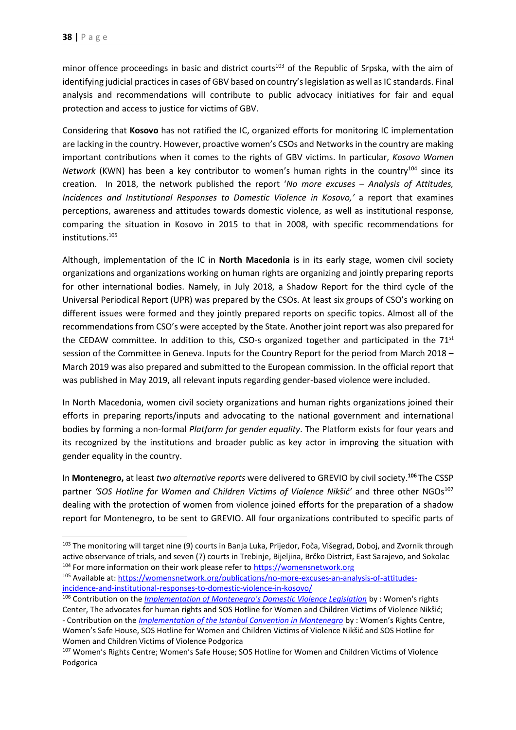minor offence proceedings in basic and district courts<sup>103</sup> of the Republic of Srpska, with the aim of identifying judicial practices in cases of GBV based on country's legislation as well as IC standards. Final analysis and recommendations will contribute to public advocacy initiatives for fair and equal protection and access to justice for victims of GBV.

Considering that **Kosovo** has not ratified the IC, organized efforts for monitoring IC implementation are lacking in the country. However, proactive women's CSOs and Networks in the country are making important contributions when it comes to the rights of GBV victims. In particular, *Kosovo Women Network* (KWN) has been a key contributor to women's human rights in the country<sup>104</sup> since its creation. In 2018, the network published the report '*No more excuses* – *Analysis of Attitudes, Incidences and Institutional Responses to Domestic Violence in Kosovo,'* a report that examines perceptions, awareness and attitudes towards domestic violence, as well as institutional response, comparing the situation in Kosovo in 2015 to that in 2008, with specific recommendations for institutions. 105

Although, implementation of the IC in **North Macedonia** is in its early stage, women civil society organizations and organizations working on human rights are organizing and jointly preparing reports for other international bodies. Namely, in July 2018, a Shadow Report for the third cycle of the Universal Periodical Report (UPR) was prepared by the CSOs. At least six groups of CSO's working on different issues were formed and they jointly prepared reports on specific topics. Almost all of the recommendations from CSO's were accepted by the State. Another joint report was also prepared for the CEDAW committee. In addition to this, CSO-s organized together and participated in the 71<sup>st</sup> session of the Committee in Geneva. Inputs for the Country Report for the period from March 2018 – March 2019 was also prepared and submitted to the European commission. In the official report that was published in May 2019, all relevant inputs regarding gender-based violence were included.

In North Macedonia, women civil society organizations and human rights organizations joined their efforts in preparing reports/inputs and advocating to the national government and international bodies by forming a non-formal *Platform for gender equality*. The Platform exists for four years and its recognized by the institutions and broader public as key actor in improving the situation with gender equality in the country.

In **Montenegro,** at least *two alternative reports* were delivered to GREVIO by civil society. **<sup>106</sup>** The CSSP partner 'SOS Hotline for Women and Children Victims of Violence Nikšić' and three other NGOs<sup>107</sup> dealing with the protection of women from violence joined efforts for the preparation of a shadow report for Montenegro, to be sent to GREVIO. All four organizations contributed to specific parts of

<sup>&</sup>lt;sup>103</sup> The monitoring will target nine (9) courts in Banja Luka, Prijedor, Foča, Višegrad, Doboj, and Zvornik through active observance of trials, and seven (7) courts in Trebinje, Bijeljina, Brčko District, East Sarajevo, and Sokolac 104 For more information on their work please refer to [https://womensnetwork.org](https://womensnetwork.org/)

<sup>105</sup> Available at: [https://womensnetwork.org/publications/no-more-excuses-an-analysis-of-attitudes](https://womensnetwork.org/publications/no-more-excuses-an-analysis-of-attitudes-incidence-and-institutional-responses-to-domestic-violence-in-kosovo/)[incidence-and-institutional-responses-to-domestic-violence-in-kosovo/](https://womensnetwork.org/publications/no-more-excuses-an-analysis-of-attitudes-incidence-and-institutional-responses-to-domestic-violence-in-kosovo/)

<sup>106</sup> Contribution on the *[Implementation of Montenegro's Domestic Violence Legislation](http://rm.coe.int/ngo-1-report-to-grevio/168073c75d)* by : Women's rights Center, The advocates for human rights and SOS Hotline for Women and Children Victims of Violence Nikšić; - Contribution on the *[Implementation of the Istanbul Convention in Montenegro](http://rm.coe.int/report-ngo-montenegro-2/168073c980)* by : Women's Rights Centre, Women's Safe House, SOS Hotline for Women and Children Victims of Violence Nikšić and SOS Hotline for Women and Children Victims of Violence Podgorica

<sup>107</sup> Women's Rights Centre; Women's Safe House; SOS Hotline for Women and Children Victims of Violence Podgorica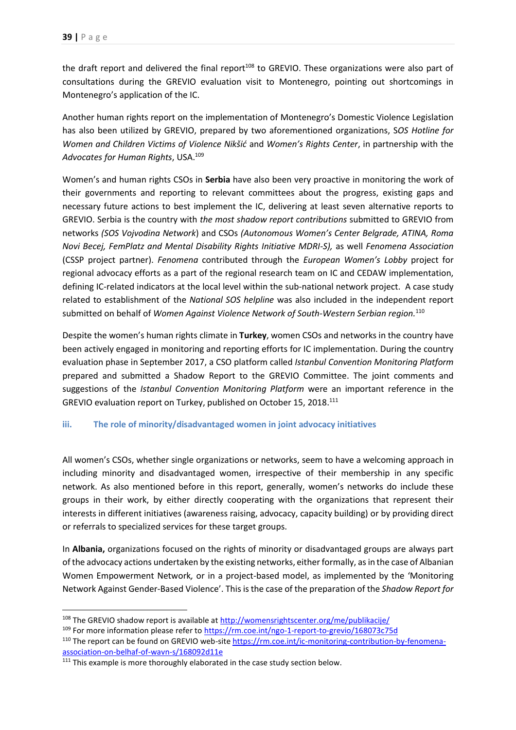the draft report and delivered the final report<sup>108</sup> to GREVIO. These organizations were also part of consultations during the GREVIO evaluation visit to Montenegro, pointing out shortcomings in Montenegro's application of the IC.

Another human rights report on the implementation of Montenegro's Domestic Violence Legislation has also been utilized by GREVIO, prepared by two aforementioned organizations, S*OS Hotline for Women and Children Victims of Violence Nikšić* and *Women's Rights Center*, in partnership with the *Advocates for Human Rights*, USA. 109

Women's and human rights CSOs in **Serbia** have also been very proactive in monitoring the work of their governments and reporting to relevant committees about the progress, existing gaps and necessary future actions to best implement the IC, delivering at least seven alternative reports to GREVIO. Serbia is the country with *the most shadow report contributions* submitted to GREVIO from networks *(SOS Vojvodina Network*) and CSOs *(Autonomous Women's Center Belgrade, ATINA, Roma Novi Becej, FemPlatz and Mental Disability Rights Initiative MDRI-S),* as well *Fenomena Association* (CSSP project partner). *Fenomena* contributed through the *European Women's Lobby* project for regional advocacy efforts as a part of the regional research team on IC and CEDAW implementation, defining IC-related indicators at the local level within the sub-national network project. A case study related to establishment of the *National SOS helpline* was also included in the independent report submitted on behalf of *Women Against Violence Network of South-Western Serbian region.* 110

Despite the women's human rights climate in **Turkey**, women CSOs and networks in the country have been actively engaged in monitoring and reporting efforts for IC implementation. During the country evaluation phase in September 2017, a CSO platform called *Istanbul Convention Monitoring Platform* prepared and submitted a Shadow Report to the GREVIO Committee. The joint comments and suggestions of the *Istanbul Convention Monitoring Platform* were an important reference in the GREVIO evaluation report on Turkey, published on October 15, 2018.<sup>111</sup>

#### <span id="page-39-0"></span>**iii. The role of minority/disadvantaged women in joint advocacy initiatives**

All women's CSOs, whether single organizations or networks, seem to have a welcoming approach in including minority and disadvantaged women, irrespective of their membership in any specific network. As also mentioned before in this report, generally, women's networks do include these groups in their work, by either directly cooperating with the organizations that represent their interests in different initiatives (awareness raising, advocacy, capacity building) or by providing direct or referrals to specialized services for these target groups.

In **Albania,** organizations focused on the rights of minority or disadvantaged groups are always part of the advocacy actions undertaken by the existing networks, either formally, as in the case of Albanian Women Empowerment Network*,* or in a project-based model, as implemented by the 'Monitoring Network Against Gender-Based Violence'. This isthe case of the preparation of the *Shadow Report for* 

<sup>108</sup> The GREVIO shadow report is available at<http://womensrightscenter.org/me/publikacije/>

<sup>&</sup>lt;sup>109</sup> For more information please refer to<https://rm.coe.int/ngo-1-report-to-grevio/168073c75d>

<sup>110</sup> The report can be found on GREVIO web-sit[e https://rm.coe.int/ic-monitoring-contribution-by-fenomena](https://rm.coe.int/ic-monitoring-contribution-by-fenomena-association-on-belhaf-of-wavn-s/168092d11e)[association-on-belhaf-of-wavn-s/168092d11e](https://rm.coe.int/ic-monitoring-contribution-by-fenomena-association-on-belhaf-of-wavn-s/168092d11e) 

<sup>&</sup>lt;sup>111</sup> This example is more thoroughly elaborated in the case study section below.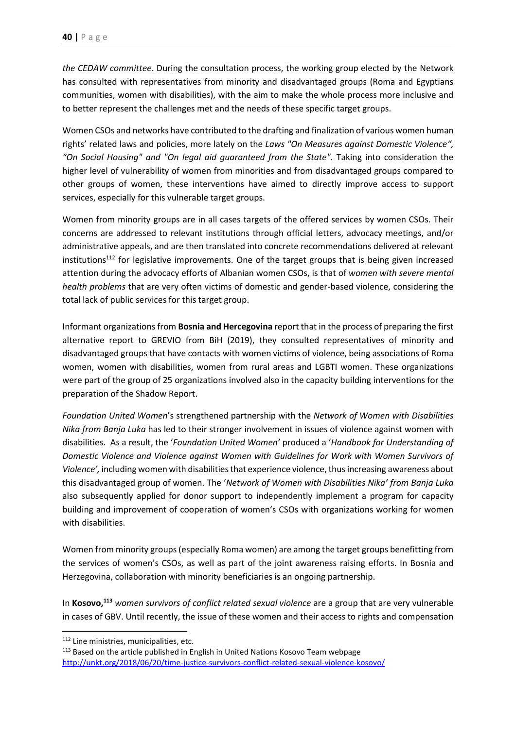*the CEDAW committee*. During the consultation process, the working group elected by the Network has consulted with representatives from minority and disadvantaged groups (Roma and Egyptians communities, women with disabilities), with the aim to make the whole process more inclusive and to better represent the challenges met and the needs of these specific target groups.

Women CSOs and networks have contributed to the drafting and finalization of various women human rights' related laws and policies, more lately on the *Laws "On Measures against Domestic Violence", "On Social Housing" and "On legal aid guaranteed from the State".* Taking into consideration the higher level of vulnerability of women from minorities and from disadvantaged groups compared to other groups of women, these interventions have aimed to directly improve access to support services, especially for this vulnerable target groups.

Women from minority groups are in all cases targets of the offered services by women CSOs. Their concerns are addressed to relevant institutions through official letters, advocacy meetings, and/or administrative appeals, and are then translated into concrete recommendations delivered at relevant institutions<sup>112</sup> for legislative improvements. One of the target groups that is being given increased attention during the advocacy efforts of Albanian women CSOs, is that of *women with severe mental health problems* that are very often victims of domestic and gender-based violence, considering the total lack of public services for this target group.

Informant organizations from **Bosnia and Hercegovina** report that in the process of preparing the first alternative report to GREVIO from BiH (2019), they consulted representatives of minority and disadvantaged groups that have contacts with women victims of violence, being associations of Roma women, women with disabilities, women from rural areas and LGBTI women. These organizations were part of the group of 25 organizations involved also in the capacity building interventions for the preparation of the Shadow Report.

*Foundation United Women*'s strengthened partnership with the *Network of Women with Disabilities Nika from Banja Luka* has led to their stronger involvement in issues of violence against women with disabilities. As a result, the '*Foundation United Women'* produced a '*Handbook for Understanding of Domestic Violence and Violence against Women with Guidelines for Work with Women Survivors of Violence',* including women with disabilities that experience violence, thus increasing awareness about this disadvantaged group of women. The '*Network of Women with Disabilities Nika' from Banja Luka* also subsequently applied for donor support to independently implement a program for capacity building and improvement of cooperation of women's CSOs with organizations working for women with disabilities.

Women from minority groups (especially Roma women) are among the target groups benefitting from the services of women's CSOs, as well as part of the joint awareness raising efforts. In Bosnia and Herzegovina, collaboration with minority beneficiaries is an ongoing partnership.

In **Kosovo, <sup>113</sup>** *women survivors of conflict related sexual violence* are a group that are very vulnerable in cases of GBV. Until recently, the issue of these women and their access to rights and compensation

**.** 

<sup>112</sup> Line ministries, municipalities, etc.

<sup>&</sup>lt;sup>113</sup> Based on the article published in English in United Nations Kosovo Team webpage <http://unkt.org/2018/06/20/time-justice-survivors-conflict-related-sexual-violence-kosovo/>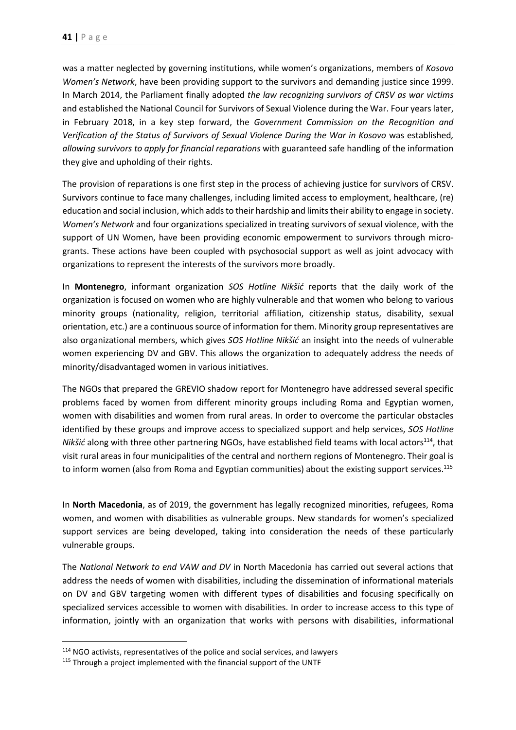was a matter neglected by governing institutions, while women's organizations, members of *Kosovo Women's Network*, have been providing support to the survivors and demanding justice since 1999. In March 2014, the Parliament finally adopted *the law recognizing survivors of CRSV as war victims* and established the National Council for Survivors of Sexual Violence during the War. Four years later, in February 2018, in a key step forward, the *Government Commission on the Recognition and Verification of the Status of Survivors of Sexual Violence During the War in Kosovo* was established*, allowing survivors to apply for financial reparations* with guaranteed safe handling of the information they give and upholding of their rights.

The provision of reparations is one first step in the process of achieving justice for survivors of CRSV. Survivors continue to face many challenges, including limited access to employment, healthcare, (re) education and social inclusion, which adds to their hardship and limits their ability to engage in society. *Women's Network* and four organizations specialized in treating survivors of sexual violence, with the support of UN Women, have been providing economic empowerment to survivors through microgrants. These actions have been coupled with psychosocial support as well as joint advocacy with organizations to represent the interests of the survivors more broadly.

In **Montenegro**, informant organization *SOS Hotline Nikšić* reports that the daily work of the organization is focused on women who are highly vulnerable and that women who belong to various minority groups (nationality, religion, territorial affiliation, citizenship status, disability, sexual orientation, etc.) are a continuous source of information for them. Minority group representatives are also organizational members, which gives *SOS Hotline Nikšić* an insight into the needs of vulnerable women experiencing DV and GBV. This allows the organization to adequately address the needs of minority/disadvantaged women in various initiatives.

The NGOs that prepared the GREVIO shadow report for Montenegro have addressed several specific problems faced by women from different minority groups including Roma and Egyptian women, women with disabilities and women from rural areas. In order to overcome the particular obstacles identified by these groups and improve access to specialized support and help services, *SOS Hotline Nikšić* along with three other partnering NGOs, have established field teams with local actors<sup>114</sup>, that visit rural areas in four municipalities of the central and northern regions of Montenegro. Their goal is to inform women (also from Roma and Egyptian communities) about the existing support services.<sup>115</sup>

In **North Macedonia**, as of 2019, the government has legally recognized minorities, refugees, Roma women, and women with disabilities as vulnerable groups. New standards for women's specialized support services are being developed, taking into consideration the needs of these particularly vulnerable groups.

The *National Network to end VAW and DV* in North Macedonia has carried out several actions that address the needs of women with disabilities, including the dissemination of informational materials on DV and GBV targeting women with different types of disabilities and focusing specifically on specialized services accessible to women with disabilities. In order to increase access to this type of information, jointly with an organization that works with persons with disabilities, informational

<sup>&</sup>lt;sup>114</sup> NGO activists, representatives of the police and social services, and lawyers

<sup>115</sup> Through a project implemented with the financial support of the UNTF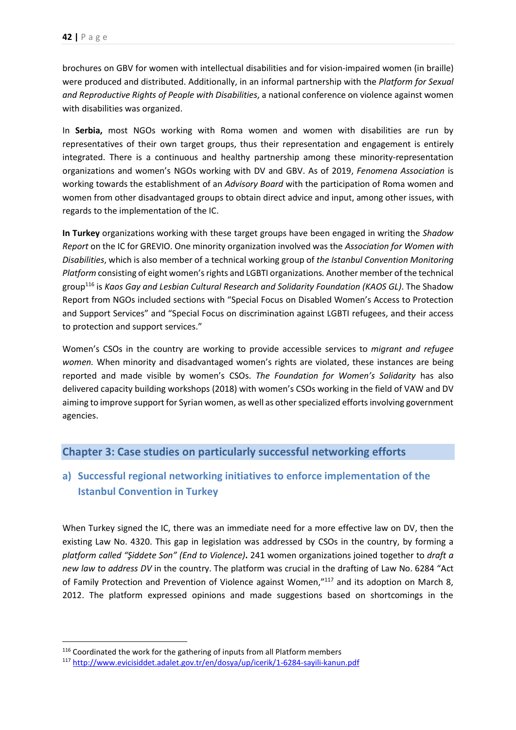brochures on GBV for women with intellectual disabilities and for vision-impaired women (in braille) were produced and distributed. Additionally, in an informal partnership with the *Platform for Sexual and Reproductive Rights of People with Disabilities*, a national conference on violence against women with disabilities was organized.

In **Serbia,** most NGOs working with Roma women and women with disabilities are run by representatives of their own target groups, thus their representation and engagement is entirely integrated. There is a continuous and healthy partnership among these minority-representation organizations and women's NGOs working with DV and GBV. As of 2019, *Fenomena Association* is working towards the establishment of an *Advisory Board* with the participation of Roma women and women from other disadvantaged groups to obtain direct advice and input, among other issues, with regards to the implementation of the IC.

**In Turkey** organizations working with these target groups have been engaged in writing the *Shadow Report* on the IC for GREVIO. One minority organization involved was the *Association for Women with Disabilities*, which is also member of a technical working group of *the Istanbul Convention Monitoring Platform* consisting of eight women's rights and LGBTI organizations. Another member of the technical group<sup>116</sup> is *Kaos Gay and Lesbian Cultural Research and Solidarity Foundation (KAOS GL)*. The Shadow Report from NGOs included sections with "Special Focus on Disabled Women's Access to Protection and Support Services" and "Special Focus on discrimination against LGBTI refugees, and their access to protection and support services."

Women's CSOs in the country are working to provide accessible services to *migrant and refugee women.* When minority and disadvantaged women's rights are violated, these instances are being reported and made visible by women's CSOs. *The Foundation for Women's Solidarity* has also delivered capacity building workshops (2018) with women's CSOs working in the field of VAW and DV aiming to improve support for Syrian women, as well as other specialized efforts involving government agencies.

# <span id="page-42-0"></span>**Chapter 3: Case studies on particularly successful networking efforts**

# <span id="page-42-1"></span>**a) Successful regional networking initiatives to enforce implementation of the Istanbul Convention in Turkey**

When Turkey signed the IC, there was an immediate need for a more effective law on DV, then the existing Law No. 4320. This gap in legislation was addressed by CSOs in the country, by forming a *platform called "Şiddete Son" (End to Violence)***.** 241 women organizations joined together to *draft a new law to address DV* in the country. The platform was crucial in the drafting of Law No. 6284 "Act of Family Protection and Prevention of Violence against Women,"<sup>117</sup> and its adoption on March 8, 2012. The platform expressed opinions and made suggestions based on shortcomings in the

<sup>&</sup>lt;sup>116</sup> Coordinated the work for the gathering of inputs from all Platform members

<sup>117</sup> <http://www.evicisiddet.adalet.gov.tr/en/dosya/up/icerik/1-6284-sayili-kanun.pdf>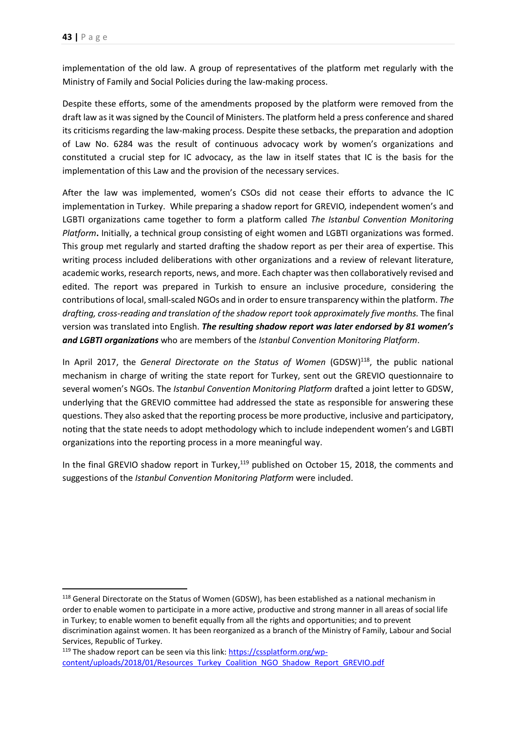implementation of the old law. A group of representatives of the platform met regularly with the Ministry of Family and Social Policies during the law-making process.

Despite these efforts, some of the amendments proposed by the platform were removed from the draft law as it was signed by the Council of Ministers. The platform held a press conference and shared its criticisms regarding the law-making process. Despite these setbacks, the preparation and adoption of Law No. 6284 was the result of continuous advocacy work by women's organizations and constituted a crucial step for IC advocacy, as the law in itself states that IC is the basis for the implementation of this Law and the provision of the necessary services.

After the law was implemented, women's CSOs did not cease their efforts to advance the IC implementation in Turkey. While preparing a shadow report for GREVIO*,* independent women's and LGBTI organizations came together to form a platform called *The Istanbul Convention Monitoring Platform***.** Initially, a technical group consisting of eight women and LGBTI organizations was formed. This group met regularly and started drafting the shadow report as per their area of expertise. This writing process included deliberations with other organizations and a review of relevant literature, academic works, research reports, news, and more. Each chapter was then collaboratively revised and edited. The report was prepared in Turkish to ensure an inclusive procedure, considering the contributions of local, small-scaled NGOs and in order to ensure transparency within the platform. *The drafting, cross-reading and translation of the shadow report took approximately five months.* The final version was translated into English. *The resulting shadow report was later endorsed by 81 women's and LGBTI organizations* who are members of the *Istanbul Convention Monitoring Platform*.

In April 2017, the *General Directorate on the Status of Women* (GDSW)<sup>118</sup>, the public national mechanism in charge of writing the state report for Turkey, sent out the GREVIO questionnaire to several women's NGOs. The *Istanbul Convention Monitoring Platform* drafted a joint letter to GDSW, underlying that the GREVIO committee had addressed the state as responsible for answering these questions. They also asked that the reporting process be more productive, inclusive and participatory, noting that the state needs to adopt methodology which to include independent women's and LGBTI organizations into the reporting process in a more meaningful way.

In the final GREVIO shadow report in Turkey,<sup>119</sup> published on October 15, 2018, the comments and suggestions of the *Istanbul Convention Monitoring Platform* were included.

<sup>&</sup>lt;sup>118</sup> General Directorate on the Status of Women (GDSW), has been established as a national mechanism in order to enable women to participate in a more active, productive and strong manner in all areas of social life in Turkey; to enable women to benefit equally from all the rights and opportunities; and to prevent discrimination against women. It has been reorganized as a branch of the Ministry of Family, Labour and Social Services, Republic of Turkey.

<sup>&</sup>lt;sup>119</sup> The shadow report can be seen via this link: [https://cssplatform.org/wp](https://cssplatform.org/wp-content/uploads/2018/01/Resources_Turkey_Coalition_NGO_Shadow_Report_GREVIO.pdf)[content/uploads/2018/01/Resources\\_Turkey\\_Coalition\\_NGO\\_Shadow\\_Report\\_GREVIO.pdf](https://cssplatform.org/wp-content/uploads/2018/01/Resources_Turkey_Coalition_NGO_Shadow_Report_GREVIO.pdf)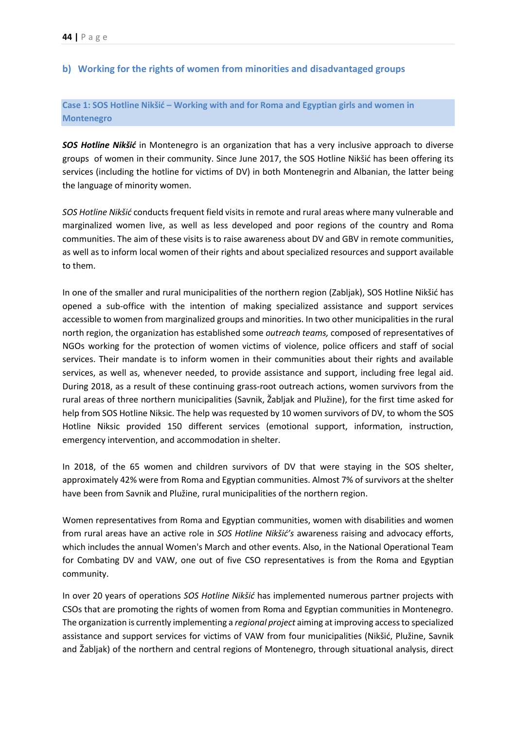## <span id="page-44-0"></span>**b) Working for the rights of women from minorities and disadvantaged groups**

## <span id="page-44-1"></span>**Case 1: SOS Hotline Nikšić – Working with and for Roma and Egyptian girls and women in Montenegro**

*SOS Hotline Nikšić* in Montenegro is an organization that has a very inclusive approach to diverse groups of women in their community. Since June 2017, the SOS Hotline Nikšić has been offering its services (including the hotline for victims of DV) in both Montenegrin and Albanian, the latter being the language of minority women.

*SOS Hotline Nikšić* conducts frequent field visits in remote and rural areas where many vulnerable and marginalized women live, as well as less developed and poor regions of the country and Roma communities. The aim of these visits is to raise awareness about DV and GBV in remote communities, as well as to inform local women of their rights and about specialized resources and support available to them.

In one of the smaller and rural municipalities of the northern region (Zabljak), SOS Hotline Nikšić has opened a sub-office with the intention of making specialized assistance and support services accessible to women from marginalized groups and minorities. In two other municipalities in the rural north region, the organization has established some *outreach teams,* composed of representatives of NGOs working for the protection of women victims of violence, police officers and staff of social services. Their mandate is to inform women in their communities about their rights and available services, as well as, whenever needed, to provide assistance and support, including free legal aid. During 2018, as a result of these continuing grass-root outreach actions, women survivors from the rural areas of three northern municipalities (Savnik, Žabljak and Plužine), for the first time asked for help from SOS Hotline Niksic. The help was requested by 10 women survivors of DV, to whom the SOS Hotline Niksic provided 150 different services (emotional support, information, instruction, emergency intervention, and accommodation in shelter.

In 2018, of the 65 women and children survivors of DV that were staying in the SOS shelter, approximately 42% were from Roma and Egyptian communities. Almost 7% of survivors at the shelter have been from Savnik and Plužine, rural municipalities of the northern region.

Women representatives from Roma and Egyptian communities, women with disabilities and women from rural areas have an active role in *SOS Hotline Nikšić's* awareness raising and advocacy efforts, which includes the annual Women's March and other events. Also, in the National Operational Team for Combating DV and VAW, one out of five CSO representatives is from the Roma and Egyptian community.

In over 20 years of operations *SOS Hotline Nikšić* has implemented numerous partner projects with CSOs that are promoting the rights of women from Roma and Egyptian communities in Montenegro. The organization is currently implementing a *regional project* aiming at improving access to specialized assistance and support services for victims of VAW from four municipalities (Nikšić, Plužine, Savnik and Žabljak) of the northern and central regions of Montenegro, through situational analysis, direct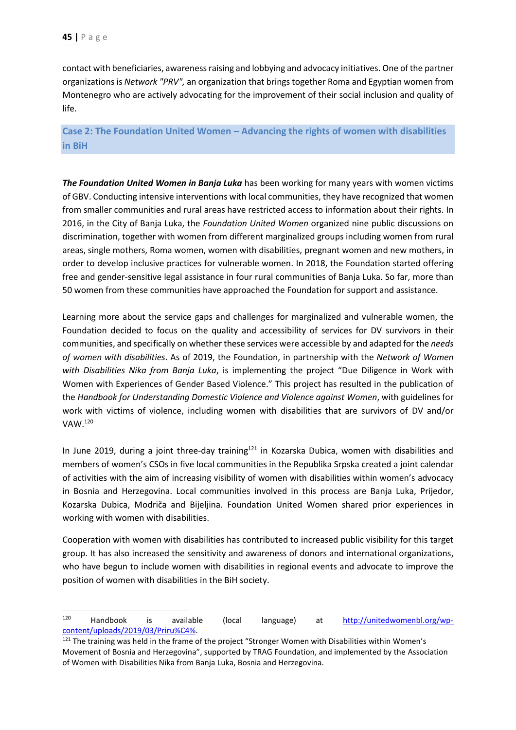contact with beneficiaries, awareness raising and lobbying and advocacy initiatives. One of the partner organizations is *Network "PRV",* an organization that brings together Roma and Egyptian women from Montenegro who are actively advocating for the improvement of their social inclusion and quality of life.

<span id="page-45-0"></span>**Case 2: The Foundation United Women – Advancing the rights of women with disabilities in BiH**

*The Foundation United Women in Banja Luka* has been working for many years with women victims of GBV. Conducting intensive interventions with local communities, they have recognized that women from smaller communities and rural areas have restricted access to information about their rights. In 2016, in the City of Banja Luka, the *Foundation United Women* organized nine public discussions on discrimination, together with women from different marginalized groups including women from rural areas, single mothers, Roma women, women with disabilities, pregnant women and new mothers, in order to develop inclusive practices for vulnerable women. In 2018, the Foundation started offering free and gender-sensitive legal assistance in four rural communities of Banja Luka. So far, more than 50 women from these communities have approached the Foundation for support and assistance.

Learning more about the service gaps and challenges for marginalized and vulnerable women, the Foundation decided to focus on the quality and accessibility of services for DV survivors in their communities, and specifically on whether these services were accessible by and adapted for the *needs of women with disabilities*. As of 2019, the Foundation, in partnership with the *Network of Women with Disabilities Nika from Banja Luka*, is implementing the project "Due Diligence in Work with Women with Experiences of Gender Based Violence." This project has resulted in the publication of the *Handbook for Understanding Domestic Violence and Violence against Women*, with guidelines for work with victims of violence, including women with disabilities that are survivors of DV and/or VAW. 120

In June 2019, during a joint three-day training<sup>121</sup> in Kozarska Dubica, women with disabilities and members of women's CSOs in five local communities in the Republika Srpska created a joint calendar of activities with the aim of increasing visibility of women with disabilities within women's advocacy in Bosnia and Herzegovina. Local communities involved in this process are Banja Luka, Prijedor, Kozarska Dubica, Modriča and Bijeljina. Foundation United Women shared prior experiences in working with women with disabilities.

Cooperation with women with disabilities has contributed to increased public visibility for this target group. It has also increased the sensitivity and awareness of donors and international organizations, who have begun to include women with disabilities in regional events and advocate to improve the position of women with disabilities in the BiH society.

<sup>120</sup> Handbook is available (local language) at [http://unitedwomenbl.org/wp](http://unitedwomenbl.org/wp-content/uploads/2019/03/Priru%C4%25)[content/uploads/2019/03/Priru%C4%.](http://unitedwomenbl.org/wp-content/uploads/2019/03/Priru%C4%25)

<sup>&</sup>lt;sup>121</sup> The training was held in the frame of the project "Stronger Women with Disabilities within Women's Movement of Bosnia and Herzegovina", supported by TRAG Foundation, and implemented by the Association of Women with Disabilities Nika from Banja Luka, Bosnia and Herzegovina.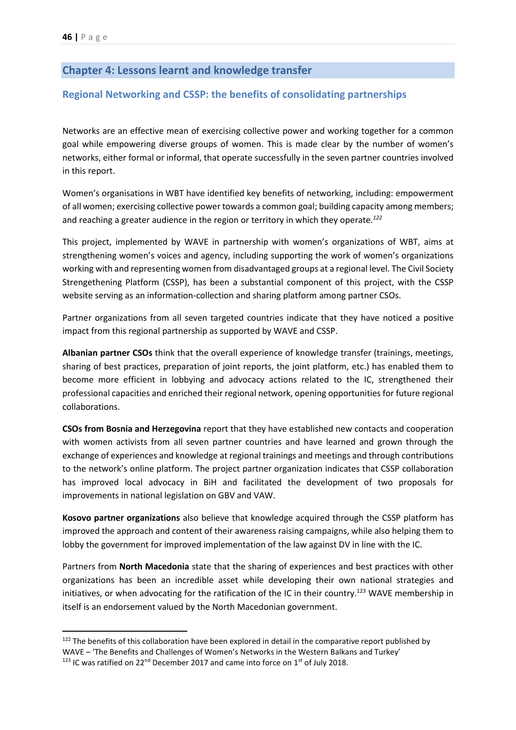# <span id="page-46-0"></span>**Chapter 4: Lessons learnt and knowledge transfer**

### <span id="page-46-1"></span>**Regional Networking and CSSP: the benefits of consolidating partnerships**

Networks are an effective mean of exercising collective power and working together for a common goal while empowering diverse groups of women. This is made clear by the number of women's networks, either formal or informal, that operate successfully in the seven partner countries involved in this report.

Women's organisations in WBT have identified key benefits of networking, including: empowerment of all women; exercising collective power towards a common goal; building capacity among members; and reaching a greater audience in the region or territory in which they operate*. 122*

This project, implemented by WAVE in partnership with women's organizations of WBT, aims at strengthening women's voices and agency, including supporting the work of women's organizations working with and representing women from disadvantaged groups at a regional level. The Civil Society Strengethening Platform (CSSP), has been a substantial component of this project, with the CSSP website serving as an information-collection and sharing platform among partner CSOs.

Partner organizations from all seven targeted countries indicate that they have noticed a positive impact from this regional partnership as supported by WAVE and CSSP.

**Albanian partner CSOs** think that the overall experience of knowledge transfer (trainings, meetings, sharing of best practices, preparation of joint reports, the joint platform, etc.) has enabled them to become more efficient in lobbying and advocacy actions related to the IC, strengthened their professional capacities and enriched their regional network, opening opportunities for future regional collaborations.

**CSOs from Bosnia and Herzegovina** report that they have established new contacts and cooperation with women activists from all seven partner countries and have learned and grown through the exchange of experiences and knowledge at regional trainings and meetings and through contributions to the network's online platform. The project partner organization indicates that CSSP collaboration has improved local advocacy in BiH and facilitated the development of two proposals for improvements in national legislation on GBV and VAW.

**Kosovo partner organizations** also believe that knowledge acquired through the CSSP platform has improved the approach and content of their awareness raising campaigns, while also helping them to lobby the government for improved implementation of the law against DV in line with the IC.

Partners from **North Macedonia** state that the sharing of experiences and best practices with other organizations has been an incredible asset while developing their own national strategies and initiatives, or when advocating for the ratification of the IC in their country.<sup>123</sup> WAVE membership in itself is an endorsement valued by the North Macedonian government.

<sup>&</sup>lt;sup>122</sup> The benefits of this collaboration have been explored in detail in the comparative report published by WAVE – 'The Benefits and Challenges of Women's Networks in the Western Balkans and Turkey'

 $123$  IC was ratified on 22<sup>nd</sup> December 2017 and came into force on 1<sup>st</sup> of July 2018.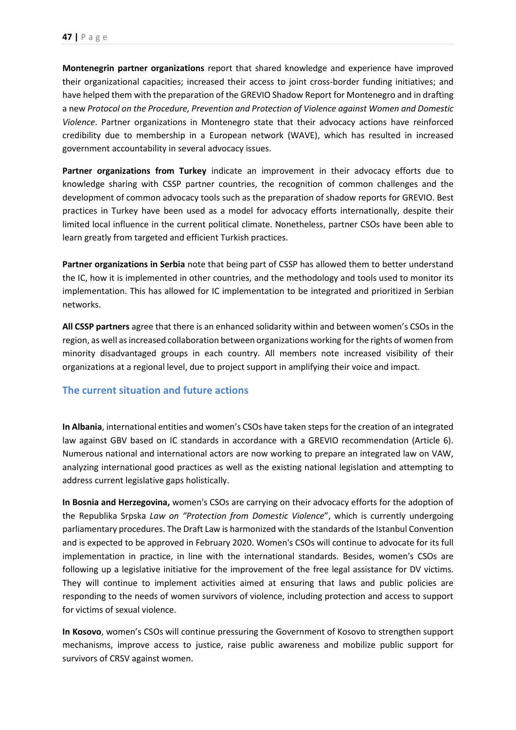**Montenegrin partner organizations** report that shared knowledge and experience have improved their organizational capacities; increased their access to joint cross-border funding initiatives; and have helped them with the preparation of the GREVIO Shadow Report for Montenegro and in drafting a new *Protocol on the Procedure, Prevention and Protection of Violence against Women and Domestic Violence*. Partner organizations in Montenegro state that their advocacy actions have reinforced credibility due to membership in a European network (WAVE), which has resulted in increased government accountability in several advocacy issues.

**Partner organizations from Turkey** indicate an improvement in their advocacy efforts due to knowledge sharing with CSSP partner countries, the recognition of common challenges and the development of common advocacy tools such as the preparation of shadow reports for GREVIO. Best practices in Turkey have been used as a model for advocacy efforts internationally, despite their limited local influence in the current political climate. Nonetheless, partner CSOs have been able to learn greatly from targeted and efficient Turkish practices.

**Partner organizations in Serbia** note that being part of CSSP has allowed them to better understand the IC, how it is implemented in other countries, and the methodology and tools used to monitor its implementation. This has allowed for IC implementation to be integrated and prioritized in Serbian networks.

**All CSSP partners** agree that there is an enhanced solidarity within and between women's CSOs in the region, as well as increased collaboration between organizations working for the rights of women from minority disadvantaged groups in each country. All members note increased visibility of their organizations at a regional level, due to project support in amplifying their voice and impact.

# <span id="page-47-0"></span>**The current situation and future actions**

**In Albania**, international entities and women's CSOs have taken steps for the creation of an integrated law against GBV based on IC standards in accordance with a GREVIO recommendation (Article 6). Numerous national and international actors are now working to prepare an integrated law on VAW, analyzing international good practices as well as the existing national legislation and attempting to address current legislative gaps holistically.

**In Bosnia and Herzegovina,** women's CSOs are carrying on their advocacy efforts for the adoption of the Republika Srpska *Law on "Protection from Domestic Violence*", which is currently undergoing parliamentary procedures. The Draft Law is harmonized with the standards of the Istanbul Convention and is expected to be approved in February 2020. Women's CSOs will continue to advocate for its full implementation in practice, in line with the international standards. Besides, women's CSOs are following up a legislative initiative for the improvement of the free legal assistance for DV victims. They will continue to implement activities aimed at ensuring that laws and public policies are responding to the needs of women survivors of violence, including protection and access to support for victims of sexual violence.

**In Kosovo**, women's CSOs will continue pressuring the Government of Kosovo to strengthen support mechanisms, improve access to justice, raise public awareness and mobilize public support for survivors of CRSV against women.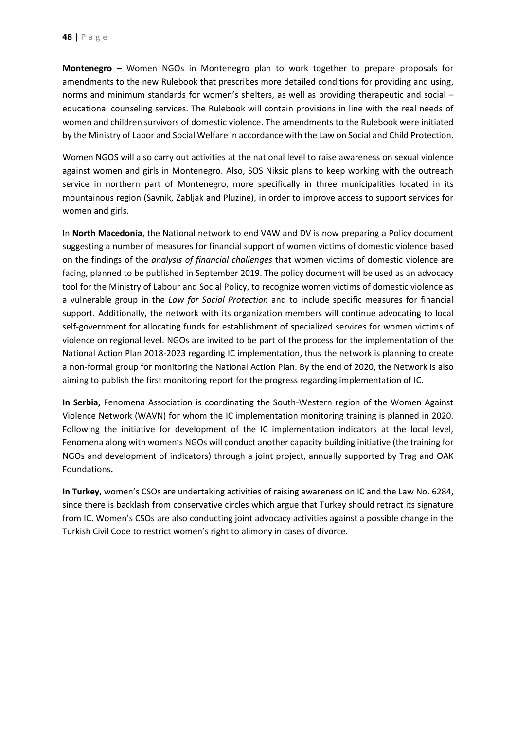**Montenegro –** Women NGOs in Montenegro plan to work together to prepare proposals for amendments to the new Rulebook that prescribes more detailed conditions for providing and using, norms and minimum standards for women's shelters, as well as providing therapeutic and social – educational counseling services. The Rulebook will contain provisions in line with the real needs of women and children survivors of domestic violence. The amendments to the Rulebook were initiated by the Ministry of Labor and Social Welfare in accordance with the Law on Social and Child Protection.

Women NGOS will also carry out activities at the national level to raise awareness on sexual violence against women and girls in Montenegro. Also, SOS Niksic plans to keep working with the outreach service in northern part of Montenegro, more specifically in three municipalities located in its mountainous region (Savnik, Zabljak and Pluzine), in order to improve access to support services for women and girls.

In **North Macedonia**, the National network to end VAW and DV is now preparing a Policy document suggesting a number of measures for financial support of women victims of domestic violence based on the findings of the *analysis of financial challenges* that women victims of domestic violence are facing, planned to be published in September 2019. The policy document will be used as an advocacy tool for the Ministry of Labour and Social Policy, to recognize women victims of domestic violence as a vulnerable group in the *Law for Social Protection* and to include specific measures for financial support. Additionally, the network with its organization members will continue advocating to local self-government for allocating funds for establishment of specialized services for women victims of violence on regional level. NGOs are invited to be part of the process for the implementation of the National Action Plan 2018-2023 regarding IC implementation, thus the network is planning to create a non-formal group for monitoring the National Action Plan. By the end of 2020, the Network is also aiming to publish the first monitoring report for the progress regarding implementation of IC.

**In Serbia,** Fenomena Association is coordinating the South-Western region of the Women Against Violence Network (WAVN) for whom the IC implementation monitoring training is planned in 2020. Following the initiative for development of the IC implementation indicators at the local level, Fenomena along with women's NGOs will conduct another capacity building initiative (the training for NGOs and development of indicators) through a joint project, annually supported by Trag and OAK Foundations**.** 

**In Turkey**, women's CSOs are undertaking activities of raising awareness on IC and the Law No. 6284, since there is backlash from conservative circles which argue that Turkey should retract its signature from IC. Women's CSOs are also conducting joint advocacy activities against a possible change in the Turkish Civil Code to restrict women's right to alimony in cases of divorce.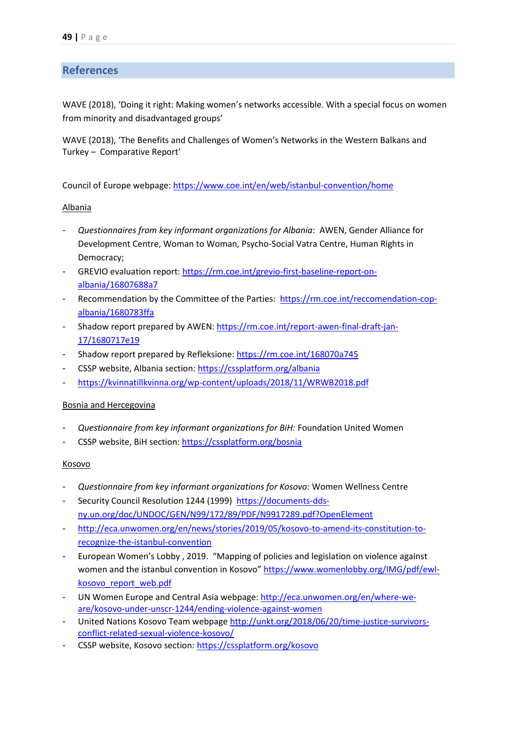# <span id="page-49-0"></span>**References**

WAVE (2018), 'Doing it right: Making women's networks accessible. With a special focus on women from minority and disadvantaged groups'

WAVE (2018), 'The Benefits and Challenges of Women's Networks in the Western Balkans and Turkey – Comparative Report'

Council of Europe webpage:<https://www.coe.int/en/web/istanbul-convention/home>

#### Albania

- *Questionnaires from key informant organizations for Albania*: AWEN, Gender Alliance for Development Centre, Woman to Woman, Psycho-Social Vatra Centre, Human Rights in Democracy;
- GREVIO evaluation report[: https://rm.coe.int/grevio-first-baseline-report-on](https://rm.coe.int/grevio-first-baseline-report-on-albania/16807688a7)[albania/16807688a7](https://rm.coe.int/grevio-first-baseline-report-on-albania/16807688a7)
- Recommendation by the Committee of the Parties: [https://rm.coe.int/reccomendation-cop](https://rm.coe.int/reccomendation-cop-albania/1680783ffa)[albania/1680783ffa](https://rm.coe.int/reccomendation-cop-albania/1680783ffa)
- Shadow report prepared by AWEN: [https://rm.coe.int/report-awen-final-draft-jan-](https://rm.coe.int/report-awen-final-draft-jan-17/1680717e19)[17/1680717e19](https://rm.coe.int/report-awen-final-draft-jan-17/1680717e19)
- Shadow report prepared by Refleksione:<https://rm.coe.int/168070a745>
- CSSP website, Albania section:<https://cssplatform.org/albania>
- <https://kvinnatillkvinna.org/wp-content/uploads/2018/11/WRWB2018.pdf>

#### Bosnia and Hercegovina

- *Questionnaire from key informant organizations for BiH:* Foundation United Women
- CSSP website, BiH section:<https://cssplatform.org/bosnia>

#### Kosovo

- *Questionnaire from key informant organizations for Kosovo:* Women Wellness Centre
- Security Council Resolution 1244 (1999) [https://documents-dds](https://documents-dds-ny.un.org/doc/UNDOC/GEN/N99/172/89/PDF/N9917289.pdf?OpenElement)[ny.un.org/doc/UNDOC/GEN/N99/172/89/PDF/N9917289.pdf?OpenElement](https://documents-dds-ny.un.org/doc/UNDOC/GEN/N99/172/89/PDF/N9917289.pdf?OpenElement)
- [http://eca.unwomen.org/en/news/stories/2019/05/kosovo-to-amend-its-constitution-to](http://eca.unwomen.org/en/news/stories/2019/05/kosovo-to-amend-its-constitution-to-recognize-the-istanbul-convention)[recognize-the-istanbul-convention](http://eca.unwomen.org/en/news/stories/2019/05/kosovo-to-amend-its-constitution-to-recognize-the-istanbul-convention)
- European Women's Lobby , 2019. "Mapping of policies and legislation on violence against women and the istanbul convention in Kosovo" [https://www.womenlobby.org/IMG/pdf/ewl](https://www.womenlobby.org/IMG/pdf/ewl-kosovo_report_web.pdf)[kosovo\\_report\\_web.pdf](https://www.womenlobby.org/IMG/pdf/ewl-kosovo_report_web.pdf)
- UN Women Europe and Central Asia webpage[: http://eca.unwomen.org/en/where-we](http://eca.unwomen.org/en/where-we-are/kosovo-under-unscr-1244/ending-violence-against-women)[are/kosovo-under-unscr-1244/ending-violence-against-women](http://eca.unwomen.org/en/where-we-are/kosovo-under-unscr-1244/ending-violence-against-women)
- United Nations Kosovo Team webpage [http://unkt.org/2018/06/20/time-justice-survivors](http://unkt.org/2018/06/20/time-justice-survivors-conflict-related-sexual-violence-kosovo/)[conflict-related-sexual-violence-kosovo/](http://unkt.org/2018/06/20/time-justice-survivors-conflict-related-sexual-violence-kosovo/)
- CSSP website, Kosovo section:<https://cssplatform.org/kosovo>